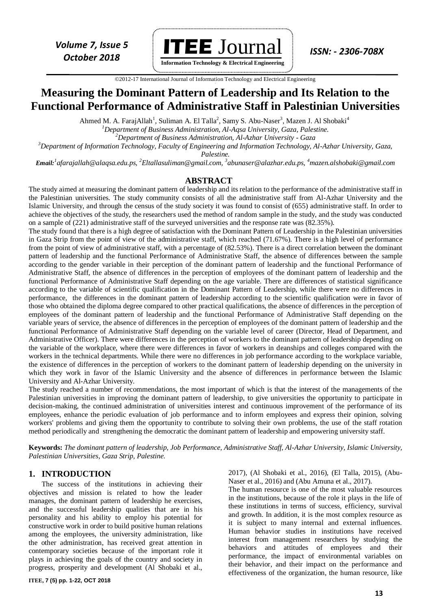

**Information Technology & Electrical Engineering**

 ©2012-17 International Journal of Information Technology and Electrical Engineering `

## **Measuring the Dominant Pattern of Leadership and Its Relation to the Functional Performance of Administrative Staff in Palestinian Universities**

Ahmed M. A. FarajAllah<sup>1</sup>, Suliman A. El Talla<sup>2</sup>, Samy S. Abu-Naser<sup>3</sup>, Mazen J. Al Shobaki<sup>4</sup>

*<sup>1</sup>Department of Business Administration, Al-Aqsa University, Gaza, Palestine.*

*<sup>2</sup>Department of Business Administration, [Al-Azhar University -](https://www.researchgate.net/institution/Al-Azhar_University-Gaza) Gaza*

*<sup>3</sup>Department of Information Technology, Faculty of Engineering and Information Technology, Al-Azhar University, Gaza,* 

*Palestine.*

*Email:<sup>1</sup> afarajallah@alaqsa.edu.ps, <sup>2</sup>Eltallasuliman@gmail.com, <sup>3</sup> abunaser@alazhar.edu.ps, <sup>4</sup>[mazen.alshobaki@gmail.com](mailto:4mazen.alshobaki@gmail.com)*

#### **ABSTRACT**

The study aimed at measuring the dominant pattern of leadership and its relation to the performance of the administrative staff in the Palestinian universities. The study community consists of all the administrative staff from Al-Azhar University and the Islamic University, and through the census of the study society it was found to consist of (655) administrative staff. In order to achieve the objectives of the study, the researchers used the method of random sample in the study, and the study was conducted on a sample of (221) administrative staff of the surveyed universities and the response rate was (82.35%).

The study found that there is a high degree of satisfaction with the Dominant Pattern of Leadership in the Palestinian universities in Gaza Strip from the point of view of the administrative staff, which reached (71.67%). There is a high level of performance from the point of view of administrative staff, with a percentage of (82.53%). There is a direct correlation between the dominant pattern of leadership and the functional Performance of Administrative Staff, the absence of differences between the sample according to the gender variable in their perception of the dominant pattern of leadership and the functional Performance of Administrative Staff, the absence of differences in the perception of employees of the dominant pattern of leadership and the functional Performance of Administrative Staff depending on the age variable. There are differences of statistical significance according to the variable of scientific qualification in the Dominant Pattern of Leadership, while there were no differences in performance, the differences in the dominant pattern of leadership according to the scientific qualification were in favor of those who obtained the diploma degree compared to other practical qualifications, the absence of differences in the perception of employees of the dominant pattern of leadership and the functional Performance of Administrative Staff depending on the variable years of service, the absence of differences in the perception of employees of the dominant pattern of leadership and the functional Performance of Administrative Staff depending on the variable level of career (Director, Head of Department, and Administrative Officer). There were differences in the perception of workers to the dominant pattern of leadership depending on the variable of the workplace, where there were differences in favor of workers in deanships and colleges compared with the workers in the technical departments. While there were no differences in job performance according to the workplace variable, the existence of differences in the perception of workers to the dominant pattern of leadership depending on the university in which they work in favor of the Islamic University and the absence of differences in performance between the Islamic University and Al-Azhar University.

The study reached a number of recommendations, the most important of which is that the interest of the managements of the Palestinian universities in improving the dominant pattern of leadership, to give universities the opportunity to participate in decision-making, the continued administration of universities interest and continuous improvement of the performance of its employees, enhance the periodic evaluation of job performance and to inform employees and express their opinion, solving workers' problems and giving them the opportunity to contribute to solving their own problems, the use of the staff rotation method periodically and strengthening the democratic the dominant pattern of leadership and empowering university staff.

**Keywords:** *The dominant pattern of leadership, Job Performance, Administrative Staff, Al-Azhar University, Islamic University, Palestinian Universities, Gaza Strip, Palestine.*

#### **1. INTRODUCTION**

The success of the institutions in achieving their objectives and mission is related to how the leader manages, the dominant pattern of leadership he exercises, and the successful leadership qualities that are in his personality and his ability to employ his potential for constructive work in order to build positive human relations among the employees, the university administration, like the other administration, has received great attention in contemporary societies because of the important role it plays in achieving the goals of the country and society in progress, prosperity and development (Al Shobaki et al.,

2017), (Al Shobaki et al., 2016), (El Talla, 2015), (Abu-Naser et al., 2016) and (Abu Amuna et al., 2017).

The human resource is one of the most valuable resources in the institutions, because of the role it plays in the life of these institutions in terms of success, efficiency, survival and growth. In addition, it is the most complex resource as it is subject to many internal and external influences. Human behavior studies in institutions have received interest from management researchers by studying the behaviors and attitudes of employees and their performance, the impact of environmental variables on their behavior, and their impact on the performance and effectiveness of the organization, the human resource, like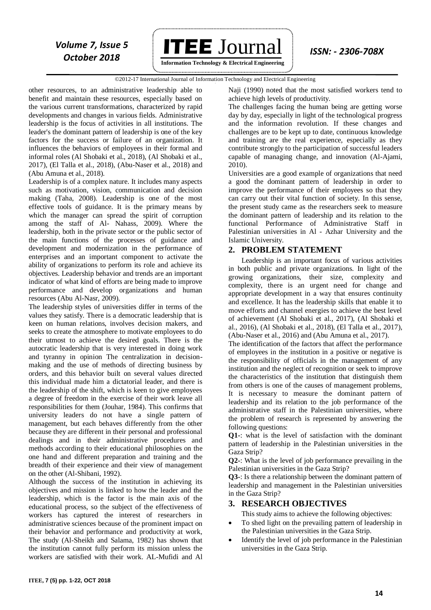

**Information Technology & Electrical Engineering**

#### ©2012-17 International Journal of Information Technology and Electrical Engineering `

other resources, to an administrative leadership able to benefit and maintain these resources, especially based on the various current transformations, characterized by rapid developments and changes in various fields. Administrative leadership is the focus of activities in all institutions. The leader's the dominant pattern of leadership is one of the key factors for the success or failure of an organization. It influences the behaviors of employees in their formal and informal roles (Al Shobaki et al., 2018), (Al Shobaki et al., 2017), (El Talla et al., 2018), (Abu-Naser et al., 2018) and (Abu Amuna et al., 2018).

Leadership is of a complex nature. It includes many aspects such as motivation, vision, communication and decision making (Taha, 2008). Leadership is one of the most effective tools of guidance. It is the primary means by which the manager can spread the spirit of corruption among the staff of Al- Nahass, 2009). Where the leadership, both in the private sector or the public sector of the main functions of the processes of guidance and development and modernization in the performance of enterprises and an important component to activate the ability of organizations to perform its role and achieve its objectives. Leadership behavior and trends are an important indicator of what kind of efforts are being made to improve performance and develop organizations and human resources (Abu Al-Nasr, 2009).

The leadership styles of universities differ in terms of the values they satisfy. There is a democratic leadership that is keen on human relations, involves decision makers, and seeks to create the atmosphere to motivate employees to do their utmost to achieve the desired goals. There is the autocratic leadership that is very interested in doing work and tyranny in opinion The centralization in decisionmaking and the use of methods of directing business by orders, and this behavior built on several values directed this individual made him a dictatorial leader, and there is the leadership of the shift, which is keen to give employees a degree of freedom in the exercise of their work leave all responsibilities for them (Jouhar, 1984). This confirms that university leaders do not have a single pattern of management, but each behaves differently from the other because they are different in their personal and professional dealings and in their administrative procedures and methods according to their educational philosophies on the one hand and different preparation and training and the breadth of their experience and their view of management on the other (Al-Shibani, 1992).

Although the success of the institution in achieving its objectives and mission is linked to how the leader and the leadership, which is the factor is the main axis of the educational process, so the subject of the effectiveness of workers has captured the interest of researchers in administrative sciences because of the prominent impact on their behavior and performance and productivity at work, The study (Al-Sheikh and Salama, 1982) has shown that the institution cannot fully perform its mission unless the workers are satisfied with their work. AL-Mufidi and Al

Naji (1990) noted that the most satisfied workers tend to achieve high levels of productivity.

The challenges facing the human being are getting worse day by day, especially in light of the technological progress and the information revolution. If these changes and challenges are to be kept up to date, continuous knowledge and training are the real experience, especially as they contribute strongly to the participation of successful leaders capable of managing change, and innovation (Al-Ajami, 2010).

Universities are a good example of organizations that need a good the dominant pattern of leadership in order to improve the performance of their employees so that they can carry out their vital function of society. In this sense, the present study came as the researchers seek to measure the dominant pattern of leadership and its relation to the functional Performance of Administrative Staff in Palestinian universities in Al - Azhar University and the Islamic University.

#### **2. PROBLEM STATEMENT**

Leadership is an important focus of various activities in both public and private organizations. In light of the growing organizations, their size, complexity and complexity, there is an urgent need for change and appropriate development in a way that ensures continuity and excellence. It has the leadership skills that enable it to move efforts and channel energies to achieve the best level of achievement (Al Shobaki et al., 2017), (Al Shobaki et al., 2016), (Al Shobaki et al., 2018), (El Talla et al., 2017), (Abu-Naser et al., 2016) and (Abu Amuna et al., 2017).

The identification of the factors that affect the performance of employees in the institution in a positive or negative is the responsibility of officials in the management of any institution and the neglect of recognition or seek to improve the characteristics of the institution that distinguish them from others is one of the causes of management problems, It is necessary to measure the dominant pattern of leadership and its relation to the job performance of the administrative staff in the Palestinian universities, where the problem of research is represented by answering the following questions:

**Q1-**: what is the level of satisfaction with the dominant pattern of leadership in the Palestinian universities in the Gaza Strip?

**Q2-**: What is the level of job performance prevailing in the Palestinian universities in the Gaza Strip?

**Q3-**: Is there a relationship between the dominant pattern of leadership and management in the Palestinian universities in the Gaza Strip?

#### **3. RESEARCH OBJECTIVES**

This study aims to achieve the following objectives:

- To shed light on the prevailing pattern of leadership in the Palestinian universities in the Gaza Strip.
- Identify the level of job performance in the Palestinian universities in the Gaza Strip.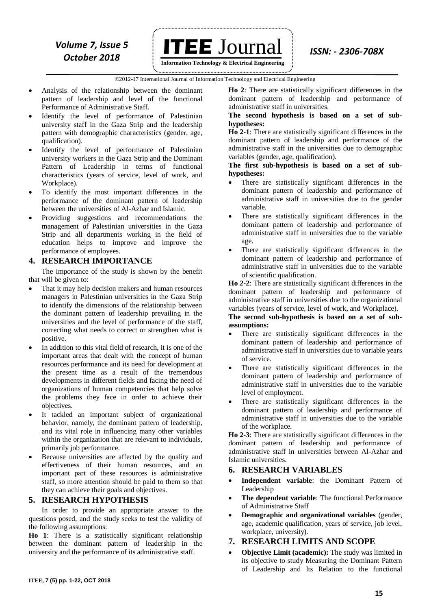

**Information Technology & Electrical Engineering**

 ©2012-17 International Journal of Information Technology and Electrical Engineering `

- Analysis of the relationship between the dominant pattern of leadership and level of the functional Performance of Administrative Staff.
- Identify the level of performance of Palestinian university staff in the Gaza Strip and the leadership pattern with demographic characteristics (gender, age, qualification).
- Identify the level of performance of Palestinian university workers in the Gaza Strip and the Dominant Pattern of Leadership in terms of functional characteristics (years of service, level of work, and Workplace).
- To identify the most important differences in the performance of the dominant pattern of leadership between the universities of Al-Azhar and Islamic.
- Providing suggestions and recommendations the management of Palestinian universities in the Gaza Strip and all departments working in the field of education helps to improve and improve the performance of employees.

### **4. RESEARCH IMPORTANCE**

The importance of the study is shown by the benefit that will be given to:

- That it may help decision makers and human resources managers in Palestinian universities in the Gaza Strip to identify the dimensions of the relationship between the dominant pattern of leadership prevailing in the universities and the level of performance of the staff, correcting what needs to correct or strengthen what is positive.
- In addition to this vital field of research, it is one of the important areas that dealt with the concept of human resources performance and its need for development at the present time as a result of the tremendous developments in different fields and facing the need of organizations of human competencies that help solve the problems they face in order to achieve their objectives.
- It tackled an important subject of organizational behavior, namely, the dominant pattern of leadership, and its vital role in influencing many other variables within the organization that are relevant to individuals, primarily job performance.
- Because universities are affected by the quality and effectiveness of their human resources, and an important part of these resources is administrative staff, so more attention should be paid to them so that they can achieve their goals and objectives.

### **5. RESEARCH HYPOTHESIS**

In order to provide an appropriate answer to the questions posed, and the study seeks to test the validity of the following assumptions:

**Ho 1**: There is a statistically significant relationship between the dominant pattern of leadership in the university and the performance of its administrative staff.

**Ho 2**: There are statistically significant differences in the dominant pattern of leadership and performance of administrative staff in universities.

#### **The second hypothesis is based on a set of subhypotheses:**

**Ho 2-1**: There are statistically significant differences in the dominant pattern of leadership and performance of the administrative staff in the universities due to demographic variables (gender, age, qualification).

**The first sub-hypothesis is based on a set of subhypotheses:**

- There are statistically significant differences in the dominant pattern of leadership and performance of administrative staff in universities due to the gender variable.
- There are statistically significant differences in the dominant pattern of leadership and performance of administrative staff in universities due to the variable age.
- There are statistically significant differences in the dominant pattern of leadership and performance of administrative staff in universities due to the variable of scientific qualification.

**Ho 2-2**: There are statistically significant differences in the dominant pattern of leadership and performance of administrative staff in universities due to the organizational variables (years of service, level of work, and Workplace).

#### **The second sub-hypothesis is based on a set of subassumptions:**

- There are statistically significant differences in the dominant pattern of leadership and performance of administrative staff in universities due to variable years of service.
- There are statistically significant differences in the dominant pattern of leadership and performance of administrative staff in universities due to the variable level of employment.
- There are statistically significant differences in the dominant pattern of leadership and performance of administrative staff in universities due to the variable of the workplace.

**Ho 2-3**: There are statistically significant differences in the dominant pattern of leadership and performance of administrative staff in universities between Al-Azhar and Islamic universities.

#### **6. RESEARCH VARIABLES**

- **Independent variable**: the Dominant Pattern of Leadership
- **The dependent variable**: The functional Performance of Administrative Staff
- **Demographic and organizational variables** (gender, age, academic qualification, years of service, job level, workplace, university).

### **7. RESEARCH LIMITS AND SCOPE**

 **Objective Limit (academic):** The study was limited in its objective to study Measuring the Dominant Pattern of Leadership and Its Relation to the functional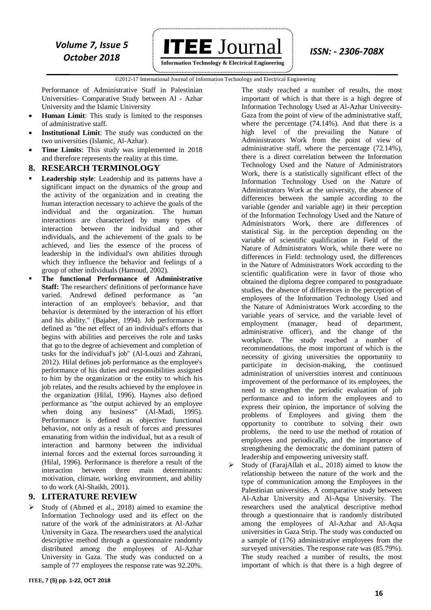

 ©2012-17 International Journal of Information Technology and Electrical Engineering `

Performance of Administrative Staff in Palestinian Universities- Comparative Study between Al - Azhar University and the Islamic University

- **Human Limit**: This study is limited to the responses of administrative staff.
- **Institutional Limit**: The study was conducted on the two universities (Islamic, Al-Azhar).
- **Time Limits**: This study was implemented in 2018 and therefore represents the reality at this time.

#### **8. RESEARCH TERMINOLOGY**

- **Leadership style**: Leadership and its patterns have a significant impact on the dynamics of the group and the activity of the organization and in creating the human interaction necessary to achieve the goals of the individual and the organization. The human interactions are characterized by many types of interaction between the individual and other individuals, and the achievement of the goals to be achieved, and lies the essence of the process of leadership in the individual's own abilities through which they influence the behavior and feelings of a group of other individuals (Hamoud, 2002).
- **The functional Performance of Administrative Staff:** The researchers' definitions of performance have varied. Andrewd defined performance as "an interaction of an employee's behavior, and that behavior is determined by the interaction of his effort and his ability." (Bajaber, 1994). Job performance is defined as "the net effect of an individual's efforts that begins with abilities and perceives the role and tasks that go to the degree of achievement and completion of tasks for the individual's job" (Al-Louzi and Zahrani, 2012). Hilal defines job performance as the employee's performance of his duties and responsibilities assigned to him by the organization or the entity to which his job relates, and the results achieved by the employee in the organization (Hilal, 1996). Haynes also defined performance as "the output achieved by an employee when doing any business" (Al-Madi, 1995). Performance is defined as objective functional behavior, not only as a result of forces and pressures emanating from within the individual, but as a result of interaction and harmony between the individual internal forces and the external forces surrounding it (Hilal, 1996). Performance is therefore a result of the interaction between three main determinants: motivation, climate, working environment, and ability to do work (Al-Shaikh, 2001).

#### **9. LITERATURE REVIEW**

 $\triangleright$  Study of (Ahmed et al., 2018) aimed to examine the Information Technology used and its effect on the nature of the work of the administrators at Al-Azhar University in Gaza. The researchers used the analytical descriptive method through a questionnaire randomly distributed among the employees of Al-Azhar University in Gaza. The study was conducted on a sample of 77 employees the response rate was 92.20%.

**ITEE, 7 (5) pp. 1-22, OCT 2018**

The study reached a number of results, the most important of which is that there is a high degree of Information Technology Used at Al-Azhar University-Gaza from the point of view of the administrative staff, where the percentage (74.14%). And that there is a high level of the prevailing the Nature of Administrators Work from the point of view of administrative staff, where the percentage (72.14%), there is a direct correlation between the Information Technology Used and the Nature of Administrators Work, there is a statistically significant effect of the Information Technology Used on the Nature of Administrators Work at the university, the absence of differences between the sample according to the variable (gender and variable age) in their perception of the Information Technology Used and the Nature of Administrators Work, there are differences of statistical Sig. in the perception depending on the variable of scientific qualification in Field of the Nature of Administrators Work, while there were no differences in Field: technology used, the differences in the Nature of Administrators Work according to the scientific qualification were in favor of those who obtained the diploma degree compared to postgraduate studies, the absence of differences in the perception of employees of the Information Technology Used and the Nature of Administrators Work according to the variable years of service, and the variable level of employment (manager, head of department, administrative officer), and the change of the workplace. The study reached a number of recommendations, the most important of which is the necessity of giving universities the opportunity to participate in decision-making, the continued administration of universities interest and continuous improvement of the performance of its employees, the need to strengthen the periodic evaluation of job performance and to inform the employees and to express their opinion, the importance of solving the problems of Employees and giving them the opportunity to contribute to solving their own problems, the need to use the method of rotation of employees and periodically, and the importance of strengthening the democratic the dominant pattern of leadership and empowering university staff.

 Study of (FarajAllah et al., 2018) aimed to know the relationship between the nature of the work and the type of communication among the Employees in the Palestinian universities. A comparative study between Al-Azhar University and Al-Aqsa University. The researchers used the analytical descriptive method through a questionnaire that is randomly distributed among the employees of Al-Azhar and Al-Aqsa universities in Gaza Strip. The study was conducted on a sample of (176) administrative employees from the surveyed universities. The response rate was  $(85.79\%)$ . The study reached a number of results, the most important of which is that there is a high degree of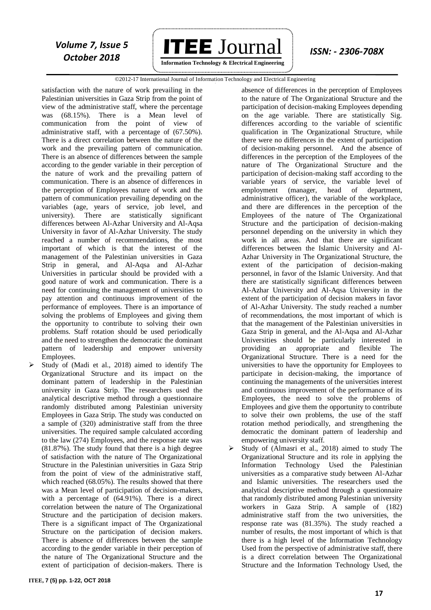

**Information Technology & Electrical Engineering**

#### ©2012-17 International Journal of Information Technology and Electrical Engineering `

satisfaction with the nature of work prevailing in the Palestinian universities in Gaza Strip from the point of view of the administrative staff, where the percentage was (68.15%). There is a Mean level of communication from the point of view of administrative staff, with a percentage of (67.50%). There is a direct correlation between the nature of the work and the prevailing pattern of communication. There is an absence of differences between the sample according to the gender variable in their perception of the nature of work and the prevailing pattern of communication. There is an absence of differences in the perception of Employees nature of work and the pattern of communication prevailing depending on the variables (age, years of service, job level, and university). There are statistically significant differences between Al-Azhar University and Al-Aqsa University in favor of Al-Azhar University. The study reached a number of recommendations, the most important of which is that the interest of the management of the Palestinian universities in Gaza Strip in general, and Al-Aqsa and Al-Azhar Universities in particular should be provided with a good nature of work and communication. There is a need for continuing the management of universities to pay attention and continuous improvement of the performance of employees. There is an importance of solving the problems of Employees and giving them the opportunity to contribute to solving their own problems. Staff rotation should be used periodically and the need to strengthen the democratic the dominant pattern of leadership and empower university Employees.

 Study of (Madi et al., 2018) aimed to identify The Organizational Structure and its impact on the dominant pattern of leadership in the Palestinian university in Gaza Strip. The researchers used the analytical descriptive method through a questionnaire randomly distributed among Palestinian university Employees in Gaza Strip. The study was conducted on a sample of (320) administrative staff from the three universities. The required sample calculated according to the law (274) Employees, and the response rate was (81.87%). The study found that there is a high degree of satisfaction with the nature of The Organizational Structure in the Palestinian universities in Gaza Strip from the point of view of the administrative staff, which reached (68.05%). The results showed that there was a Mean level of participation of decision-makers, with a percentage of (64.91%). There is a direct correlation between the nature of The Organizational Structure and the participation of decision makers. There is a significant impact of The Organizational Structure on the participation of decision makers. There is absence of differences between the sample according to the gender variable in their perception of the nature of The Organizational Structure and the extent of participation of decision-makers. There is

absence of differences in the perception of Employees to the nature of The Organizational Structure and the participation of decision-making Employees depending on the age variable. There are statistically Sig. differences according to the variable of scientific qualification in The Organizational Structure, while there were no differences in the extent of participation of decision-making personnel. And the absence of differences in the perception of the Employees of the nature of The Organizational Structure and the participation of decision-making staff according to the variable years of service, the variable level of employment (manager, head of department, administrative officer), the variable of the workplace, and there are differences in the perception of the Employees of the nature of The Organizational Structure and the participation of decision-making personnel depending on the university in which they work in all areas. And that there are significant differences between the Islamic University and Al-Azhar University in The Organizational Structure, the extent of the participation of decision-making personnel, in favor of the Islamic University. And that there are statistically significant differences between Al-Azhar University and Al-Aqsa University in the extent of the participation of decision makers in favor of Al-Azhar University. The study reached a number of recommendations, the most important of which is that the management of the Palestinian universities in Gaza Strip in general, and the Al-Aqsa and Al-Azhar Universities should be particularly interested in providing an appropriate and flexible The Organizational Structure. There is a need for the universities to have the opportunity for Employees to participate in decision-making, the importance of continuing the managements of the universities interest and continuous improvement of the performance of its Employees, the need to solve the problems of Employees and give them the opportunity to contribute to solve their own problems, the use of the staff rotation method periodically, and strengthening the democratic the dominant pattern of leadership and empowering university staff.

 Study of (Almasri et al., 2018) aimed to study The Organizational Structure and its role in applying the Information Technology Used the Palestinian universities as a comparative study between Al-Azhar and Islamic universities. The researchers used the analytical descriptive method through a questionnaire that randomly distributed among Palestinian university workers in Gaza Strip. A sample of (182) administrative staff from the two universities, the response rate was (81.35%). The study reached a number of results, the most important of which is that there is a high level of the Information Technology Used from the perspective of administrative staff, there is a direct correlation between The Organizational Structure and the Information Technology Used, the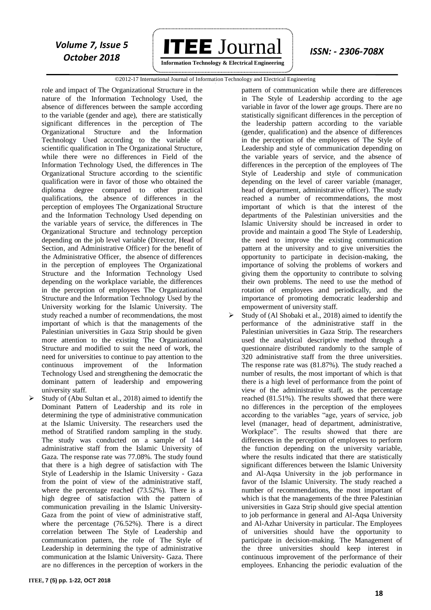

**Information Technology & Electrical Engineering**

#### ©2012-17 International Journal of Information Technology and Electrical Engineering `

role and impact of The Organizational Structure in the nature of the Information Technology Used, the absence of differences between the sample according to the variable (gender and age), there are statistically significant differences in the perception of The Organizational Structure and the Information Technology Used according to the variable of scientific qualification in The Organizational Structure, while there were no differences in Field of the Information Technology Used, the differences in The Organizational Structure according to the scientific qualification were in favor of those who obtained the diploma degree compared to other practical qualifications, the absence of differences in the perception of employees The Organizational Structure and the Information Technology Used depending on the variable years of service, the differences in The Organizational Structure and technology perception depending on the job level variable (Director, Head of Section, and Administrative Officer) for the benefit of the Administrative Officer, the absence of differences in the perception of employees The Organizational Structure and the Information Technology Used depending on the workplace variable, the differences in the perception of employees The Organizational Structure and the Information Technology Used by the University working for the Islamic University. The study reached a number of recommendations, the most important of which is that the managements of the Palestinian universities in Gaza Strip should be given more attention to the existing The Organizational Structure and modified to suit the need of work, the need for universities to continue to pay attention to the continuous improvement of the Information Technology Used and strengthening the democratic the dominant pattern of leadership and empowering university staff.

 Study of (Abu Sultan et al., 2018) aimed to identify the Dominant Pattern of Leadership and its role in determining the type of administrative communication at the Islamic University. The researchers used the method of Stratified random sampling in the study. The study was conducted on a sample of 144 administrative staff from the Islamic University of Gaza. The response rate was 77.08%. The study found that there is a high degree of satisfaction with The Style of Leadership in the Islamic University - Gaza from the point of view of the administrative staff, where the percentage reached (73.52%). There is a high degree of satisfaction with the pattern of communication prevailing in the Islamic University-Gaza from the point of view of administrative staff, where the percentage (76.52%). There is a direct correlation between The Style of Leadership and communication pattern, the role of The Style of Leadership in determining the type of administrative communication at the Islamic University- Gaza. There are no differences in the perception of workers in the

pattern of communication while there are differences in The Style of Leadership according to the age variable in favor of the lower age groups. There are no statistically significant differences in the perception of the leadership pattern according to the variable (gender, qualification) and the absence of differences in the perception of the employees of The Style of Leadership and style of communication depending on the variable years of service, and the absence of differences in the perception of the employees of The Style of Leadership and style of communication depending on the level of career variable (manager, head of department, administrative officer). The study reached a number of recommendations, the most important of which is that the interest of the departments of the Palestinian universities and the Islamic University should be increased in order to provide and maintain a good The Style of Leadership, the need to improve the existing communication pattern at the university and to give universities the opportunity to participate in decision-making, the importance of solving the problems of workers and giving them the opportunity to contribute to solving their own problems. The need to use the method of rotation of employees and periodically, and the importance of promoting democratic leadership and empowerment of university staff.

 Study of (Al Shobaki et al., 2018) aimed to identify the performance of the administrative staff in the Palestinian universities in Gaza Strip. The researchers used the analytical descriptive method through a questionnaire distributed randomly to the sample of 320 administrative staff from the three universities. The response rate was (81.87%). The study reached a number of results, the most important of which is that there is a high level of performance from the point of view of the administrative staff, as the percentage reached (81.51%). The results showed that there were no differences in the perception of the employees according to the variables "age, years of service, job level (manager, head of department, administrative, Workplace". The results showed that there are differences in the perception of employees to perform the function depending on the university variable, where the results indicated that there are statistically significant differences between the Islamic University and Al-Aqsa University in the job performance in favor of the Islamic University. The study reached a number of recommendations, the most important of which is that the managements of the three Palestinian universities in Gaza Strip should give special attention to job performance in general and Al-Aqsa University and Al-Azhar University in particular. The Employees of universities should have the opportunity to participate in decision-making. The Management of the three universities should keep interest in continuous improvement of the performance of their employees. Enhancing the periodic evaluation of the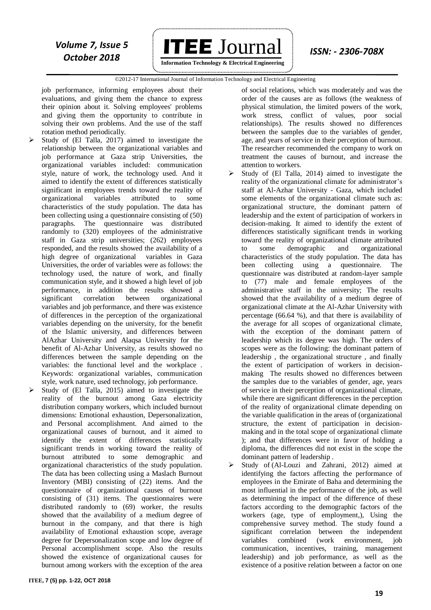

 ©2012-17 International Journal of Information Technology and Electrical Engineering `

job performance, informing employees about their evaluations, and giving them the chance to express their opinion about it. Solving employees' problems and giving them the opportunity to contribute in solving their own problems. And the use of the staff rotation method periodically.

- Study of (El Talla, 2017) aimed to investigate the relationship between the organizational variables and job performance at Gaza strip Universities, the organizational variables included: communication style, nature of work, the technology used. And it aimed to identify the extent of differences statistically significant in employees trends toward the reality of organizational variables attributed to some characteristics of the study population. The data has been collecting using a questionnaire consisting of (50) paragraphs. The questionnaire was distributed randomly to (320) employees of the administrative staff in Gaza strip universities; (262) employees responded, and the results showed the availability of a high degree of organizational variables in Gaza Universities, the order of variables were as follows: the technology used, the nature of work, and finally communication style, and it showed a high level of job performance, in addition the results showed a significant correlation between organizational variables and job performance, and there was existence of differences in the perception of the organizational variables depending on the university, for the benefit of the Islamic university, and differences between AlAzhar University and Alaqsa University for the benefit of Al-Azhar University, as results showed no differences between the sample depending on the variables: the functional level and the workplace . Keywords: organizational variables, communication style, work nature, used technology, job performance.
- Study of (El Talla, 2015) aimed to investigate the reality of the burnout among Gaza electricity distribution company workers, which included burnout dimensions: Emotional exhaustion, Depersonalization, and Personal accomplishment. And aimed to the organizational causes of burnout, and it aimed to identify the extent of differences statistically significant trends in working toward the reality of burnout attributed to some demographic and organizational characteristics of the study population. The data has been collecting using a Maslach Burnout Inventory (MBI) consisting of (22) items. And the questionnaire of organizational causes of burnout consisting of (31) items. The questionnaires were distributed randomly to (69) worker, the results showed that the availability of a medium degree of burnout in the company, and that there is high availability of Emotional exhaustion scope, average degree for Depersonalization scope and low degree of Personal accomplishment scope. Also the results showed the existence of organizational causes for burnout among workers with the exception of the area

of social relations, which was moderately and was the order of the causes are as follows (the weakness of physical stimulation, the limited powers of the work, work stress, conflict of values, poor social relationships). The results showed no differences between the samples due to the variables of gender, age, and years of service in their perception of burnout. The researcher recommended the company to work on treatment the causes of burnout, and increase the attention to workers.

- Study of (El Talla, 2014) aimed to investigate the reality of the organizational climate for administrator's staff at Al-Azhar University - Gaza, which included some elements of the organizational climate such as: organizational structure, the dominant pattern of leadership and the extent of participation of workers in decision-making. It aimed to identify the extent of differences statistically significant trends in working toward the reality of organizational climate attributed to some demographic and organizational characteristics of the study population. The data has been collecting using a questionnaire. The questionnaire was distributed at random-layer sample to (77) male and female employees of the administrative staff in the university; The results showed that the availability of a medium degree of organizational climate at the Al-Azhar University with percentage (66.64 %), and that there is availability of the average for all scopes of organizational climate, with the exception of the dominant pattern of leadership which its degree was high. The orders of scopes were as the following: the dominant pattern of leadership , the organizational structure , and finally the extent of participation of workers in decisionmaking The results showed no differences between the samples due to the variables of gender, age, years of service in their perception of organizational climate, while there are significant differences in the perception of the reality of organizational climate depending on the variable qualification in the areas of (organizational structure, the extent of participation in decisionmaking and in the total scope of organizational climate ); and that differences were in favor of holding a diploma, the differences did not exist in the scope the dominant pattern of leadership .
- Study of (Al-Louzi and Zahrani, 2012) aimed at identifying the factors affecting the performance of employees in the Emirate of Baha and determining the most influential in the performance of the job, as well as determining the impact of the difference of these factors according to the demographic factors of the workers (age, type of employment,), Using the comprehensive survey method. The study found a significant correlation between the independent variables combined (work environment, job communication, incentives, training, management leadership) and job performance, as well as the existence of a positive relation between a factor on one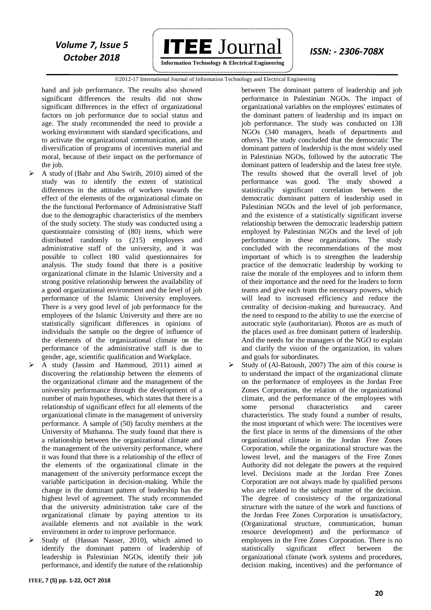

#### ©2012-17 International Journal of Information Technology and Electrical Engineering `

hand and job performance. The results also showed significant differences the results did not show significant differences in the effect of organizational factors on job performance due to social status and age. The study recommended the need to provide a working environment with standard specifications, and to activate the organizational communication, and the diversification of programs of incentives material and moral, because of their impact on the performance of the *ioh*.

- A study of (Bahr and Abu Swirih, 2010) aimed of the study was to identify the extent of statistical differences in the attitudes of workers towards the effect of the elements of the organizational climate on the the functional Performance of Administrative Staff due to the demographic characteristics of the members of the study society. The study was conducted using a questionnaire consisting of (80) items, which were distributed randomly to (215) employees and administrative staff of the university, and it was possible to collect 180 valid questionnaires for analysis. The study found that there is a positive organizational climate in the Islamic University and a strong positive relationship between the availability of a good organizational environment and the level of job performance of the Islamic University employees. There is a very good level of job performance for the employees of the Islamic University and there are no statistically significant differences in opinions of individuals the sample on the degree of influence of the elements of the organizational climate on the performance of the administrative staff is due to gender, age, scientific qualification and Workplace.
- A study (Jassim and Hammoud, 2011) aimed at discovering the relationship between the elements of the organizational climate and the management of the university performance through the development of a number of main hypotheses, which states that there is a relationship of significant effect for all elements of the organizational climate in the management of university performance. A sample of (50) faculty members at the University of Muthanna. The study found that there is a relationship between the organizational climate and the management of the university performance, where it was found that there is a relationship of the effect of the elements of the organizational climate in the management of the university performance except the variable participation in decision-making. While the change in the dominant pattern of leadership has the highest level of agreement. The study recommended that the university administration take care of the organizational climate by paying attention to its available elements and not available in the work environment in order to improve performance.
- Study of (Hassan Nasser, 2010), which aimed to identify the dominant pattern of leadership of leadership in Palestinian NGOs, identify their job performance, and identify the nature of the relationship

between The dominant pattern of leadership and job performance in Palestinian NGOs. The impact of organizational variables on the employees' estimates of the dominant pattern of leadership and its impact on job performance. The study was conducted on 138 NGOs (340 managers, heads of departments and others). The study concluded that the democratic The dominant pattern of leadership is the most widely used in Palestinian NGOs, followed by the autocratic The dominant pattern of leadership and the latest free style. The results showed that the overall level of job performance was good. The study showed a statistically significant correlation between the democratic dominant pattern of leadership used in Palestinian NGOs and the level of job performance, and the existence of a statistically significant inverse relationship between the democratic leadership pattern employed by Palestinian NGOs and the level of job performance in these organizations. The study concluded with the recommendations of the most important of which is to strengthen the leadership practice of the democratic leadership by working to raise the morale of the employees and to inform them of their importance and the need for the leaders to form teams and give each team the necessary powers, which will lead to increased efficiency and reduce the centrality of decision-making and bureaucracy. And the need to respond to the ability to use the exercise of autocratic style (authoritarian). Photos are as much of the places used as free dominant pattern of leadership. And the needs for the managers of the NGO to explain and clarify the vision of the organization, its values and goals for subordinates.

 Study of (Al-Batoush, 2007) The aim of this course is to understand the impact of the organizational climate on the performance of employees in the Jordan Free Zones Corporation, the relation of the organizational climate, and the performance of the employees with some personal characteristics and career characteristics. The study found a number of results, the most important of which were: The incentives were the first place in terms of the dimensions of the other organizational climate in the Jordan Free Zones Corporation, while the organizational structure was the lowest level, and the managers of the Free Zones Authority did not delegate the powers at the required level. Decisions made at the Jordan Free Zones Corporation are not always made by qualified persons who are related to the subject matter of the decision. The degree of consistency of the organizational structure with the nature of the work and functions of the Jordan Free Zones Corporation is unsatisfactory, (Organizational structure, communication, human resource development) and the performance of employees in the Free Zones Corporation. There is no statistically significant effect between the organizational climate (work systems and procedures, decision making, incentives) and the performance of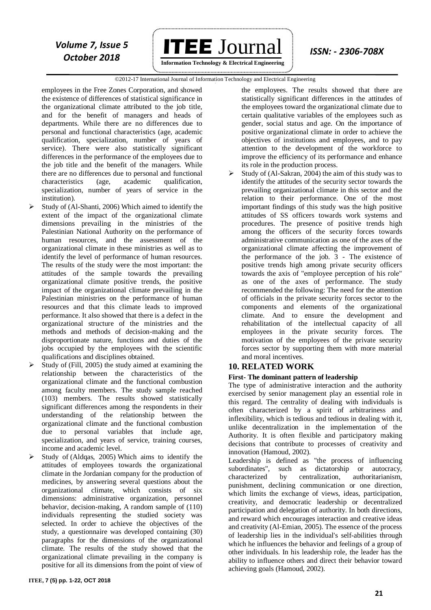

 ©2012-17 International Journal of Information Technology and Electrical Engineering `

employees in the Free Zones Corporation, and showed the existence of differences of statistical significance in the organizational climate attributed to the job title, and for the benefit of managers and heads of departments. While there are no differences due to personal and functional characteristics (age, academic qualification, specialization, number of years of service). There were also statistically significant differences in the performance of the employees due to the job title and the benefit of the managers. While there are no differences due to personal and functional characteristics (age, academic qualification, specialization, number of years of service in the institution).

- Study of (Al-Shanti, 2006) Which aimed to identify the extent of the impact of the organizational climate dimensions prevailing in the ministries of the Palestinian National Authority on the performance of human resources, and the assessment of the organizational climate in these ministries as well as to identify the level of performance of human resources. The results of the study were the most important: the attitudes of the sample towards the prevailing organizational climate positive trends, the positive impact of the organizational climate prevailing in the Palestinian ministries on the performance of human resources and that this climate leads to improved performance. It also showed that there is a defect in the organizational structure of the ministries and the methods and methods of decision-making and the disproportionate nature, functions and duties of the jobs occupied by the employees with the scientific qualifications and disciplines obtained.
- Study of (Fill, 2005) the study aimed at examining the relationship between the characteristics of the organizational climate and the functional combustion among faculty members. The study sample reached (103) members. The results showed statistically significant differences among the respondents in their understanding of the relationship between the organizational climate and the functional combustion due to personal variables that include age, specialization, and years of service, training courses, income and academic level.
- Study of (Aldqas, 2005) Which aims to identify the attitudes of employees towards the organizational climate in the Jordanian company for the production of medicines, by answering several questions about the organizational climate, which consists of six dimensions: administrative organization, personnel behavior, decision-making, A random sample of (110) individuals representing the studied society was selected. In order to achieve the objectives of the study, a questionnaire was developed containing (30) paragraphs for the dimensions of the organizational climate. The results of the study showed that the organizational climate prevailing in the company is positive for all its dimensions from the point of view of

the employees. The results showed that there are statistically significant differences in the attitudes of the employees toward the organizational climate due to certain qualitative variables of the employees such as gender, social status and age. On the importance of positive organizational climate in order to achieve the objectives of institutions and employees, and to pay attention to the development of the workforce to improve the efficiency of its performance and enhance its role in the production process.

 Study of (Al-Sakran, 2004) the aim of this study was to identify the attitudes of the security sector towards the prevailing organizational climate in this sector and the relation to their performance. One of the most important findings of this study was the high positive attitudes of SS officers towards work systems and procedures. The presence of positive trends high among the officers of the security forces towards administrative communication as one of the axes of the organizational climate affecting the improvement of the performance of the job. 3 - The existence of positive trends high among private security officers towards the axis of "employee perception of his role" as one of the axes of performance. The study recommended the following: The need for the attention of officials in the private security forces sector to the components and elements of the organizational climate. And to ensure the development and rehabilitation of the intellectual capacity of all employees in the private security forces. The motivation of the employees of the private security forces sector by supporting them with more material and moral incentives.

#### **10. RELATED WORK**

#### **First- The dominant pattern of leadership**

The type of administrative interaction and the authority exercised by senior management play an essential role in this regard. The centrality of dealing with individuals is often characterized by a spirit of arbitrariness and inflexibility, which is tedious and tedious in dealing with it, unlike decentralization in the implementation of the Authority. It is often flexible and participatory making decisions that contribute to processes of creativity and innovation (Hamoud, 2002).

Leadership is defined as "the process of influencing<br>subordinates", such as dictatorship or autocracy, such as dictatorship or autocracy, characterized by centralization, authoritarianism, punishment, declining communication or one direction, which limits the exchange of views, ideas, participation, creativity, and democratic leadership or decentralized participation and delegation of authority. In both directions, and reward which encourages interaction and creative ideas and creativity (Al-Emian, 2005). The essence of the process of leadership lies in the individual's self-abilities through which he influences the behavior and feelings of a group of other individuals. In his leadership role, the leader has the ability to influence others and direct their behavior toward achieving goals (Hamoud, 2002).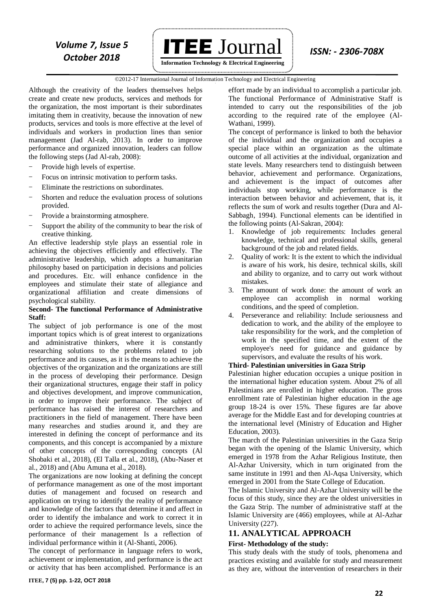*Volume 7, Issue 5* **ITEE**  $J$ OUTNal *ISSN: - 2306-708X* 

 **Information Technology & Electrical Engineering**

#### ©2012-17 International Journal of Information Technology and Electrical Engineering `

Although the creativity of the leaders themselves helps create and create new products, services and methods for the organization, the most important is their subordinates imitating them in creativity, because the innovation of new products, services and tools is more effective at the level of individuals and workers in production lines than senior management (Jad Al-rab, 2013). In order to improve performance and organized innovation, leaders can follow the following steps (Jad Al-rab, 2008):

- Provide high levels of expertise.
- Focus on intrinsic motivation to perform tasks.
- Eliminate the restrictions on subordinates.
- Shorten and reduce the evaluation process of solutions provided.
- Provide a brainstorming atmosphere.
- Support the ability of the community to bear the risk of creative thinking.

An effective leadership style plays an essential role in achieving the objectives efficiently and effectively. The administrative leadership, which adopts a humanitarian philosophy based on participation in decisions and policies and procedures. Etc. will enhance confidence in the employees and stimulate their state of allegiance and organizational affiliation and create dimensions of psychological stability.

#### **Second- The functional Performance of Administrative Staff:**

The subject of job performance is one of the most important topics which is of great interest to organizations and administrative thinkers, where it is constantly researching solutions to the problems related to job performance and its causes, as it is the means to achieve the objectives of the organization and the organizations are still in the process of developing their performance. Design their organizational structures, engage their staff in policy and objectives development, and improve communication, in order to improve their performance. The subject of performance has raised the interest of researchers and practitioners in the field of management. There have been many researches and studies around it, and they are interested in defining the concept of performance and its components, and this concept is accompanied by a mixture of other concepts of the corresponding concepts (Al Shobaki et al., 2018), (El Talla et al., 2018), (Abu-Naser et al., 2018) and (Abu Amuna et al., 2018).

The organizations are now looking at defining the concept of performance management as one of the most important duties of management and focused on research and application on trying to identify the reality of performance and knowledge of the factors that determine it and affect in order to identify the imbalance and work to correct it in order to achieve the required performance levels, since the performance of their management Is a reflection of individual performance within it (Al-Shanti, 2006).

The concept of performance in language refers to work, achievement or implementation, and performance is the act or activity that has been accomplished. Performance is an

effort made by an individual to accomplish a particular job. The functional Performance of Administrative Staff is intended to carry out the responsibilities of the job according to the required rate of the employee (Al-Wathani, 1999).

The concept of performance is linked to both the behavior of the individual and the organization and occupies a special place within an organization as the ultimate outcome of all activities at the individual, organization and state levels. Many researchers tend to distinguish between behavior, achievement and performance. Organizations, and achievement is the impact of outcomes after individuals stop working, while performance is the interaction between behavior and achievement, that is, it reflects the sum of work and results together (Dura and Al-Sabbagh, 1994). Functional elements can be identified in the following points (Al-Sakran, 2004):

- 1. Knowledge of job requirements: Includes general knowledge, technical and professional skills, general background of the job and related fields.
- 2. Quality of work: It is the extent to which the individual is aware of his work, his desire, technical skills, skill and ability to organize, and to carry out work without mistakes.
- 3. The amount of work done: the amount of work an employee can accomplish in normal working conditions, and the speed of completion.
- 4. Perseverance and reliability: Include seriousness and dedication to work, and the ability of the employee to take responsibility for the work, and the completion of work in the specified time, and the extent of the employee's need for guidance and guidance by supervisors, and evaluate the results of his work.

#### **Third- Palestinian universities in Gaza Strip**

Palestinian higher education occupies a unique position in the international higher education system. About 2% of all Palestinians are enrolled in higher education. The gross enrollment rate of Palestinian higher education in the age group 18-24 is over 15%. These figures are far above average for the Middle East and for developing countries at the international level (Ministry of Education and Higher Education, 2003).

The march of the Palestinian universities in the Gaza Strip began with the opening of the Islamic University, which emerged in 1978 from the Azhar Religious Institute, then Al-Azhar University, which in turn originated from the same institute in 1991 and then Al-Aqsa University, which emerged in 2001 from the State College of Education.

The Islamic University and Al-Azhar University will be the focus of this study, since they are the oldest universities in the Gaza Strip. The number of administrative staff at the Islamic University are (466) employees, while at Al-Azhar University (227).

### **11. ANALYTICAL APPROACH**

#### **First- Methodology of the study:**

This study deals with the study of tools, phenomena and practices existing and available for study and measurement as they are, without the intervention of researchers in their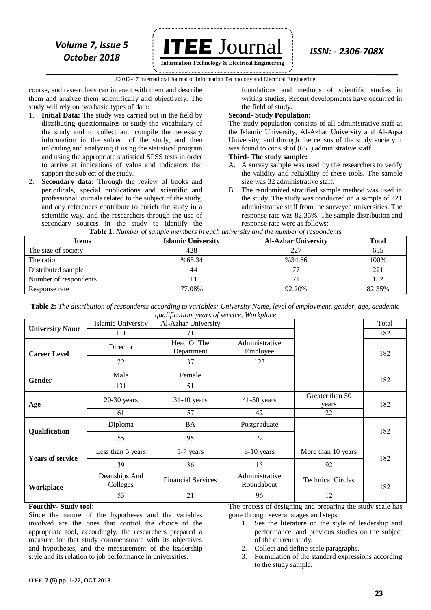

**Information Technology & Electrical Engineering**

 ©2012-17 International Journal of Information Technology and Electrical Engineering `

course, and researchers can interact with them and describe them and analyze them scientifically and objectively. The study will rely on two basic types of data:

- 1. **Initial Data:** The study was carried out in the field by distributing questionnaires to study the vocabulary of the study and to collect and compile the necessary information in the subject of the study, and then unloading and analyzing it using the statistical program and using the appropriate statistical SPSS tests in order to arrive at indications of value and indicators that support the subject of the study.
- 2. **Secondary data:** Through the review of books and periodicals, special publications and scientific and professional journals related to the subject of the study, and any references contribute to enrich the study in a scientific way, and the researchers through the use of secondary sources in the study to identify the

foundations and methods of scientific studies in writing studies, Recent developments have occurred in the field of study.

#### **Second- Study Population:**

The study population consists of all administrative staff at the Islamic University, Al-Azhar University and Al-Aqsa University, and through the census of the study society it was found to consist of (655) administrative staff.

#### **Third- The study sample:**

- A. A survey sample was used by the researchers to verify the validity and reliability of these tools. The sample size was 32 administrative staff.
- B. The randomized stratified sample method was used in the study. The study was conducted on a sample of 221 administrative staff from the surveyed universities. The response rate was 82.35%. The sample distribution and response rate were as follows:

| <b>Items</b>          | <b>Islamic University</b> | $\sim$ which is a contracted to the contracted the contraction of the contracted the second of the contraction of the contraction of the contracted to the contract of the contracted to the contract of the contracted to the<br><b>Al-Azhar University</b> | <b>Total</b> |
|-----------------------|---------------------------|--------------------------------------------------------------------------------------------------------------------------------------------------------------------------------------------------------------------------------------------------------------|--------------|
| The size of society   | 428                       | 227                                                                                                                                                                                                                                                          | 655          |
| The ratio             | %65.34                    | %34.66                                                                                                                                                                                                                                                       | 100%         |
| Distributed sample    | 144                       |                                                                                                                                                                                                                                                              | 221          |
| Number of respondents | 111                       |                                                                                                                                                                                                                                                              | 182          |
| Response rate         | 77.08%                    | 92.20%                                                                                                                                                                                                                                                       | 82.35%       |

**Table 1**: *Number of sample members in each university and the number of respondents*

**Table 2:** *The distribution of respondents according to variables: University Name, level of employment, gender, age, academic qualification, years of service, Workplace*

|                         | Islamic University        | quangroamong yours of service, workprace<br>Al-Azhar University |                              |                          | Total |  |
|-------------------------|---------------------------|-----------------------------------------------------------------|------------------------------|--------------------------|-------|--|
| <b>University Name</b>  | 111                       | 71                                                              |                              |                          | 182   |  |
| <b>Career Level</b>     | Director                  | Head Of The<br>Department                                       | Administrative<br>Employee   |                          | 182   |  |
|                         | 22                        | 37                                                              | 123                          |                          |       |  |
| Gender                  | Male                      | Female                                                          |                              |                          | 182   |  |
|                         | 131                       | 51                                                              |                              |                          |       |  |
| Age                     | $20-30$ years             | $31-40$ years                                                   | $41-50$ years                | Greater than 50<br>vears | 182   |  |
|                         | 61                        | 57                                                              | 42                           | 22                       |       |  |
| Qualification           | Diploma                   | <b>BA</b>                                                       | Postgraduate                 |                          | 182   |  |
|                         | 55                        | 95                                                              | 22                           |                          |       |  |
|                         | Less than 5 years         | 5-7 years                                                       | 8-10 years                   | More than 10 years       |       |  |
| <b>Years of service</b> | 39                        | 36                                                              | 15                           | 92                       | 182   |  |
| Workplace               | Deanships And<br>Colleges | <b>Financial Services</b>                                       | Administrative<br>Roundabout | <b>Technical Circles</b> | 182   |  |
|                         | 53                        | 21                                                              | 96                           | 12                       |       |  |

### **Fourthly- Study tool:**

Since the nature of the hypotheses and the variables involved are the ones that control the choice of the appropriate tool, accordingly, the researchers prepared a measure for that study commensurate with its objectives and hypotheses, and the measurement of the leadership style and its relation to job performance in universities.

The process of designing and preparing the study scale has gone through several stages and steps:

- 1. See the literature on the style of leadership and performance, and previous studies on the subject of the current study.
- 2. Collect and define scale paragraphs.
- 3. Formulation of the standard expressions according to the study sample.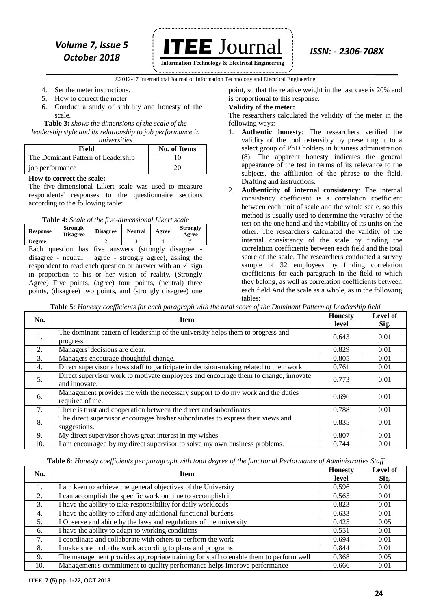### *ISSN: - 2306-708X Volume 7, Issue 5 October 2018*

 **ITEE** Journal **Information Technology & Electrical Engineering**

©2012-17 International Journal of Information Technology and Electrical Engineering `

- 4. Set the meter instructions.
- 5. How to correct the meter.
- 6. Conduct a study of stability and honesty of the scale.

**Table 3:** *shows the dimensions of the scale of the leadership style and its relationship to job performance in universities*

| Field                              | <b>No. of Items</b> |  |  |  |  |
|------------------------------------|---------------------|--|--|--|--|
| The Dominant Pattern of Leadership |                     |  |  |  |  |
| job performance                    | 20                  |  |  |  |  |

#### **How to correct the scale:**

The five-dimensional Likert scale was used to measure respondents' responses to the questionnaire sections according to the following table:

**Table 4:** *Scale of the five-dimensional Likert scale*

| <b>Response</b>                                                      | <b>Strongly</b><br><b>Disagree</b> | <b>Disagree</b>                                            | <b>Neutral</b> | Agree | <b>Strongly</b><br>Agree |  |
|----------------------------------------------------------------------|------------------------------------|------------------------------------------------------------|----------------|-------|--------------------------|--|
| <b>Degree</b>                                                        |                                    |                                                            |                |       |                          |  |
| Each question has five answers (strongly disagree -                  |                                    |                                                            |                |       |                          |  |
| $disagree - neutral - agree - strongly agree$ , asking the           |                                    |                                                            |                |       |                          |  |
| respondent to read each question or answer with an $\checkmark$ sign |                                    |                                                            |                |       |                          |  |
| in proportion to his or her vision of reality, (Strongly             |                                    |                                                            |                |       |                          |  |
| Agree) Five points, (agree) four points, (neutral) three             |                                    |                                                            |                |       |                          |  |
|                                                                      |                                    | points, (disagree) two points, and (strongly disagree) one |                |       |                          |  |

point, so that the relative weight in the last case is 20% and is proportional to this response.

#### **Validity of the meter:**

The researchers calculated the validity of the meter in the following ways:

- 1. **Authentic honesty**: The researchers verified the validity of the tool ostensibly by presenting it to a select group of PhD holders in business administration (8). The apparent honesty indicates the general appearance of the test in terms of its relevance to the subjects, the affiliation of the phrase to the field, Drafting and instructions.
- 2. **Authenticity of internal consistency**: The internal consistency coefficient is a correlation coefficient between each unit of scale and the whole scale, so this method is usually used to determine the veracity of the test on the one hand and the viability of its units on the other. The researchers calculated the validity of the internal consistency of the scale by finding the correlation coefficients between each field and the total score of the scale. The researchers conducted a survey sample of 32 employees by finding correlation coefficients for each paragraph in the field to which they belong, as well as correlation coefficients between each field And the scale as a whole, as in the following tables:

**Table 5***: Honesty coefficients for each paragraph with the total score of the Dominant Pattern of Leadership field*

| No. | <b>Item</b>                                                                                          | <b>Honesty</b><br>level | Level of<br>Sig. |
|-----|------------------------------------------------------------------------------------------------------|-------------------------|------------------|
| 1.  | The dominant pattern of leadership of the university helps them to progress and<br>progress.         | 0.643                   | 0.01             |
| 2.  | Managers' decisions are clear.                                                                       | 0.829                   | 0.01             |
| 3.  | Managers encourage thoughtful change.                                                                | 0.805                   | 0.01             |
| 4.  | Direct supervisor allows staff to participate in decision-making related to their work.              | 0.761                   | 0.01             |
| 5.  | Direct supervisor work to motivate employees and encourage them to change, innovate<br>and innovate. | 0.773                   | 0.01             |
| 6.  | Management provides me with the necessary support to do my work and the duties<br>required of me.    | 0.696                   | 0.01             |
| 7.  | There is trust and cooperation between the direct and subordinates                                   | 0.788                   | 0.01             |
| 8.  | The direct supervisor encourages his/her subordinates to express their views and<br>suggestions.     | 0.835                   | 0.01             |
| 9.  | My direct supervisor shows great interest in my wishes.                                              | 0.807                   | 0.01             |
| 10. | I am encouraged by my direct supervisor to solve my own business problems.                           | 0.744                   | 0.01             |

**Table 6***: Honesty coefficients per paragraph with total degree of the functional Performance of Administrative Staff*

| No. | <b>Item</b>                                                                           |       | Level of<br>Sig. |
|-----|---------------------------------------------------------------------------------------|-------|------------------|
|     | I am keen to achieve the general objectives of the University                         | 0.596 | 0.01             |
| 2.  | I can accomplish the specific work on time to accomplish it                           | 0.565 | 0.01             |
| 3.  | I have the ability to take responsibility for daily workloads                         | 0.823 | 0.01             |
| 4.  | I have the ability to afford any additional functional burdens                        | 0.633 | 0.01             |
| 5.  | I Observe and abide by the laws and regulations of the university                     | 0.425 | 0.05             |
| 6.  | I have the ability to adapt to working conditions                                     | 0.551 | 0.01             |
| 7.  | I coordinate and collaborate with others to perform the work                          | 0.694 | 0.01             |
| 8.  | I make sure to do the work according to plans and programs                            | 0.844 | 0.01             |
| 9.  | The management provides appropriate training for staff to enable them to perform well | 0.368 | 0.05             |
| 10. | Management's commitment to quality performance helps improve performance              | 0.666 | 0.01             |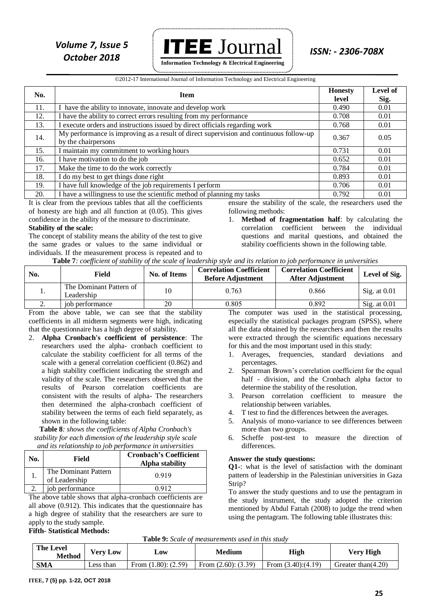

#### ©2012-17 International Journal of Information Technology and Electrical Engineering

| No. | <b>Item</b>                                                                                                   | <b>Honesty</b><br>level | Level of<br>Sig. |
|-----|---------------------------------------------------------------------------------------------------------------|-------------------------|------------------|
| 11. | I have the ability to innovate, innovate and develop work                                                     | 0.490                   | 0.01             |
| 12. | I have the ability to correct errors resulting from my performance                                            | 0.708                   | 0.01             |
| 13. | I execute orders and instructions issued by direct officials regarding work                                   | 0.768                   | 0.01             |
| 14. | My performance is improving as a result of direct supervision and continuous follow-up<br>by the chairpersons | 0.367                   | 0.05             |
| 15. | I maintain my commitment to working hours                                                                     | 0.731                   | 0.01             |
| 16. | I have motivation to do the job                                                                               | 0.652                   | 0.01             |
| 17. | Make the time to do the work correctly                                                                        | 0.784                   | 0.01             |
| 18. | I do my best to get things done right                                                                         | 0.893                   | 0.01             |
| 19. | I have full knowledge of the job requirements I perform                                                       | 0.706                   | 0.01             |
| 20. | I have a willingness to use the scientific method of planning my tasks                                        | 0.792                   | 0.01             |

It is clear from the previous tables that all the coefficients of honesty are high and all function at (0.05). This gives confidence in the ability of the measure to discriminate. **Stability of the scale:**

The concept of stability means the ability of the test to give the same grades or values to the same individual or individuals. If the measurement process is repeated and to ensure the stability of the scale, the researchers used the following methods:

1. **Method of fragmentation half**: by calculating the correlation coefficient between the individual questions and marital questions, and obtained the stability coefficients shown in the following table.

|  |  |  |  | Table 7: coefficient of stability of the scale of leadership style and its relation to job performance in universities |
|--|--|--|--|------------------------------------------------------------------------------------------------------------------------|
|  |  |  |  |                                                                                                                        |

| No. | Field                                 | No. of Items | <b>Correlation Coefficient</b><br><b>Before Adjustment</b> | <b>Correlation Coefficient</b><br><b>After Adjustment</b> | Level of Sig.          |
|-----|---------------------------------------|--------------|------------------------------------------------------------|-----------------------------------------------------------|------------------------|
|     | The Dominant Pattern of<br>Leadership | 10           | 0.763                                                      | 0.866                                                     | $\text{Sig. at } 0.01$ |
| ـ.  | job performance                       | 20           | 0.805                                                      | 0.892                                                     | Sig. at $0.01$         |

From the above table, we can see that the stability coefficients in all midterm segments were high, indicating that the questionnaire has a high degree of stability.

2. **Alpha Cronbach's coefficient of persistence**: The researchers used the alpha- cronbach coefficient to calculate the stability coefficient for all terms of the scale with a general correlation coefficient (0.862) and a high stability coefficient indicating the strength and validity of the scale. The researchers observed that the results of Pearson correlation coefficients are consistent with the results of alpha- The researchers then determined the alpha-cronbach coefficient of stability between the terms of each field separately, as shown in the following table:

**Table 8***: shows the coefficients of Alpha Cronbach's stability for each dimension of the leadership style scale and its relationship to job performance in universities*

| No. | Field                                 | <b>Cronbach's Coefficient</b><br>Alpha stability |
|-----|---------------------------------------|--------------------------------------------------|
|     | The Dominant Pattern<br>of Leadership | 0.919                                            |
|     | job performance                       |                                                  |

The above table shows that alpha-cronbach coefficients are all above (0.912). This indicates that the questionnaire has a high degree of stability that the researchers are sure to apply to the study sample.

The computer was used in the statistical processing, especially the statistical packages program (SPSS), where all the data obtained by the researchers and then the results were extracted through the scientific equations necessary for this and the most important used in this study:

- 1. Averages, frequencies, standard deviations and percentages.
- 2. Spearman Brown's correlation coefficient for the equal half - division, and the Cronbach alpha factor to determine the stability of the resolution.
- 3. Pearson correlation coefficient to measure the relationship between variables.
- 4. T test to find the differences between the averages.
- 5. Analysis of mono-variance to see differences between more than two groups.
- 6. Scheffe post-test to measure the direction of differences.

#### **Answer the study questions:**

**Q1-**: what is the level of satisfaction with the dominant pattern of leadership in the Palestinian universities in Gaza Strip?

To answer the study questions and to use the pentagram in the study instrument, the study adopted the criterion mentioned by Abdul Fattah (2008) to judge the trend when using the pentagram. The following table illustrates this:

#### **Fifth- Statistical Methods:**

|  |  | Table 9: Scale of measurements used in this study |  |  |  |
|--|--|---------------------------------------------------|--|--|--|
|--|--|---------------------------------------------------|--|--|--|

| <b>The Level</b><br><b>Method</b> | Verv Low  | $\mathbf{\omega}$ ow     | Medium                   | High                | <b>Very High</b>      |
|-----------------------------------|-----------|--------------------------|--------------------------|---------------------|-----------------------|
| <b>SMA</b>                        | Less than | From $(1.80)$ : $(2.59)$ | From $(2.60)$ : $(3.39)$ | From $(3.40)(4.19)$ | Greater than $(4.20)$ |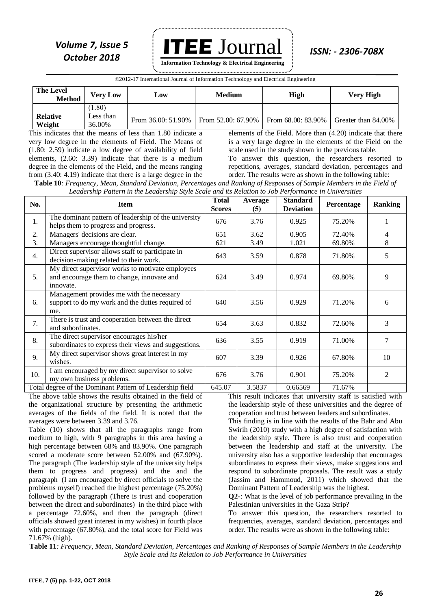

**Information Technology & Electrical Engineering**

©2012-17 International Journal of Information Technology and Electrical Engineering

| <b>The Level</b><br><b>Method</b> | Verv Low            | Low                  | <b>Medium</b>      | High               | Very High           |
|-----------------------------------|---------------------|----------------------|--------------------|--------------------|---------------------|
|                                   | (08.1)              |                      |                    |                    |                     |
| <b>Relative</b><br>Weight         | Less than<br>36.00% | From $36.00:51.90\%$ | From 52.00: 67.90% | From 68.00: 83.90% | Greater than 84.00% |

This indicates that the means of less than 1.80 indicate a very low degree in the elements of Field. The Means of (1.80: 2.59) indicate a low degree of availability of field elements, (2.60: 3.39) indicate that there is a medium degree in the elements of the Field, and the means ranging from (3.40: 4.19) indicate that there is a large degree in the

elements of the Field. More than (4.20) indicate that there is a very large degree in the elements of the Field on the scale used in the study shown in the previous table. To answer this question, the researchers resorted to

repetitions, averages, standard deviation, percentages and order. The results were as shown in the following table:

**Table 10***: Frequency, Mean, Standard Deviation, Percentages and Ranking of Responses of Sample Members in the Field of Leadership Pattern in the Leadership Style Scale and its Relation to Job Performance in Universities*

| No. | <b>Item</b>                                                                                                 | <b>Total</b><br><b>Scores</b> | Average<br>(5) | <b>Standard</b><br><b>Deviation</b> | Percentage | <b>Ranking</b> |
|-----|-------------------------------------------------------------------------------------------------------------|-------------------------------|----------------|-------------------------------------|------------|----------------|
| 1.  | The dominant pattern of leadership of the university<br>helps them to progress and progress.                | 676                           | 3.76           | 0.925                               | 75.20%     |                |
| 2.  | Managers' decisions are clear.                                                                              | 651                           | 3.62           | 0.905                               | 72.40%     | 4              |
| 3.  | Managers encourage thoughtful change.                                                                       | 621                           | 3.49           | 1.021                               | 69.80%     | 8              |
| 4.  | Direct supervisor allows staff to participate in<br>decision-making related to their work.                  | 643                           | 3.59           | 0.878                               | 71.80%     | 5              |
| 5.  | My direct supervisor works to motivate employees<br>and encourage them to change, innovate and<br>innovate. | 624                           | 3.49           | 0.974                               | 69.80%     | 9              |
| 6.  | Management provides me with the necessary<br>support to do my work and the duties required of<br>me.        | 640                           | 3.56           | 0.929                               | 71.20%     | 6              |
| 7.  | There is trust and cooperation between the direct<br>and subordinates.                                      | 654                           | 3.63           | 0.832                               | 72.60%     | 3              |
| 8.  | The direct supervisor encourages his/her<br>subordinates to express their views and suggestions.            | 636                           | 3.55           | 0.919                               | 71.00%     |                |
| 9.  | My direct supervisor shows great interest in my<br>wishes.                                                  | 607                           | 3.39           | 0.926                               | 67.80%     | 10             |
| 10. | I am encouraged by my direct supervisor to solve<br>my own business problems.                               | 676                           | 3.76           | 0.901                               | 75.20%     | $\mathfrak{D}$ |
|     | Total degree of the Dominant Pattern of Leadership field                                                    | 645.07                        | 3.5837         | 0.66569                             | 71.67%     |                |

The above table shows the results obtained in the field of the organizational structure by presenting the arithmetic averages of the fields of the field. It is noted that the averages were between 3.39 and 3.76.

Table (10) shows that all the paragraphs range from medium to high, with 9 paragraphs in this area having a high percentage between 68% and 83.90%. One paragraph scored a moderate score between 52.00% and (67.90%). The paragraph (The leadership style of the university helps them to progress and progress) and the and the paragraph (I am encouraged by direct officials to solve the problems myself) reached the highest percentage (75.20%) followed by the paragraph (There is trust and cooperation between the direct and subordinates) in the third place with a percentage 72.60%, and then the paragraph (direct officials showed great interest in my wishes) in fourth place with percentage (67.80%), and the total score for Field was 71.67% (high).

This result indicates that university staff is satisfied with the leadership style of these universities and the degree of cooperation and trust between leaders and subordinates.

This finding is in line with the results of the Bahr and Abu Swirih (2010) study with a high degree of satisfaction with the leadership style. There is also trust and cooperation between the leadership and staff at the university. The university also has a supportive leadership that encourages subordinates to express their views, make suggestions and respond to subordinate proposals. The result was a study (Jassim and Hammoud, 2011) which showed that the Dominant Pattern of Leadership was the highest.

**Q2-**: What is the level of job performance prevailing in the Palestinian universities in the Gaza Strip?

To answer this question, the researchers resorted to frequencies, averages, standard deviation, percentages and order. The results were as shown in the following table:

**Table 11***: Frequency, Mean, Standard Deviation, Percentages and Ranking of Responses of Sample Members in the Leadership Style Scale and its Relation to Job Performance in Universities*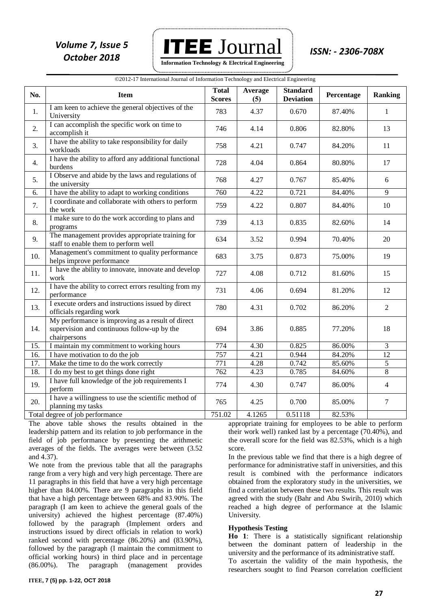

| ©2012-17 International Journal of Information Technology and Electrical Engineering |  |  |
|-------------------------------------------------------------------------------------|--|--|

| No. | <b>Item</b>                                                                                                      | <b>Total</b><br><b>Scores</b> | Average<br>(5) | <b>Standard</b><br><b>Deviation</b> | Percentage | <b>Ranking</b> |
|-----|------------------------------------------------------------------------------------------------------------------|-------------------------------|----------------|-------------------------------------|------------|----------------|
| 1.  | I am keen to achieve the general objectives of the<br>University                                                 | 783                           | 4.37           | 0.670                               | 87.40%     | $\mathbf{1}$   |
| 2.  | I can accomplish the specific work on time to<br>accomplish it                                                   | 746                           | 4.14           | 0.806                               | 82.80%     | 13             |
| 3.  | I have the ability to take responsibility for daily<br>workloads                                                 | 758                           | 4.21           | 0.747                               | 84.20%     | 11             |
| 4.  | I have the ability to afford any additional functional<br>burdens                                                | 728                           | 4.04           | 0.864                               | 80.80%     | 17             |
| 5.  | I Observe and abide by the laws and regulations of<br>the university                                             | 768                           | 4.27           | 0.767                               | 85.40%     | 6              |
| 6.  | I have the ability to adapt to working conditions                                                                | 760                           | 4.22           | 0.721                               | 84.40%     | 9              |
| 7.  | I coordinate and collaborate with others to perform<br>the work                                                  | 759                           | 4.22           | 0.807                               | 84.40%     | 10             |
| 8.  | I make sure to do the work according to plans and<br>programs                                                    | 739                           | 4.13           | 0.835                               | 82.60%     | 14             |
| 9.  | The management provides appropriate training for<br>staff to enable them to perform well                         | 634                           | 3.52           | 0.994                               | 70.40%     | 20             |
| 10. | Management's commitment to quality performance<br>helps improve performance                                      | 683                           | 3.75           | 0.873                               | 75.00%     | 19             |
| 11. | I have the ability to innovate, innovate and develop<br>work                                                     | 727                           | 4.08           | 0.712                               | 81.60%     | 15             |
| 12. | I have the ability to correct errors resulting from my<br>performance                                            | 731                           | 4.06           | 0.694                               | 81.20%     | 12             |
| 13. | I execute orders and instructions issued by direct<br>officials regarding work                                   | 780                           | 4.31           | 0.702                               | 86.20%     | $\overline{2}$ |
| 14. | My performance is improving as a result of direct<br>supervision and continuous follow-up by the<br>chairpersons | 694                           | 3.86           | 0.885                               | 77.20%     | 18             |
| 15. | I maintain my commitment to working hours                                                                        | 774                           | 4.30           | 0.825                               | 86.00%     | $\overline{3}$ |
| 16. | I have motivation to do the job                                                                                  | 757                           | 4.21           | 0.944                               | 84.20%     | 12             |
| 17. | Make the time to do the work correctly                                                                           | 771                           | 4.28           | 0.742                               | 85.60%     | 5              |
| 18. | I do my best to get things done right                                                                            | 762                           | 4.23           | 0.785                               | 84.60%     | $\overline{8}$ |
| 19. | I have full knowledge of the job requirements I<br>perform                                                       | 774                           | 4.30           | 0.747                               | 86.00%     | $\overline{4}$ |
| 20. | I have a willingness to use the scientific method of<br>planning my tasks                                        | 765                           | 4.25           | 0.700                               | 85.00%     | $\tau$         |
|     | Total degree of job performance                                                                                  | 751.02                        | 4.1265         | 0.51118                             | 82.53%     |                |

The above table shows the results obtained in the leadership pattern and its relation to job performance in the field of job performance by presenting the arithmetic averages of the fields. The averages were between (3.52 and 4.37).

We note from the previous table that all the paragraphs range from a very high and very high percentage. There are 11 paragraphs in this field that have a very high percentage higher than 84.00%. There are 9 paragraphs in this field that have a high percentage between  $68\%$  and  $83.90\%$ . The paragraph (I am keen to achieve the general goals of the university) achieved the highest percentage (87.40%) followed by the paragraph (Implement orders and instructions issued by direct officials in relation to work) ranked second with percentage (86.20%) and (83.90%), followed by the paragraph (I maintain the commitment to official working hours) in third place and in percentage (86.00%). The paragraph (management provides

appropriate training for employees to be able to perform their work well) ranked last by a percentage (70.40%), and the overall score for the field was 82.53%, which is a high score.

In the previous table we find that there is a high degree of performance for administrative staff in universities, and this result is combined with the performance indicators obtained from the exploratory study in the universities, we find a correlation between these two results. This result was agreed with the study (Bahr and Abu Swirih, 2010) which reached a high degree of performance at the Islamic University.

#### **Hypothesis Testing**

**Ho 1**: There is a statistically significant relationship between the dominant pattern of leadership in the university and the performance of its administrative staff.

To ascertain the validity of the main hypothesis, the researchers sought to find Pearson correlation coefficient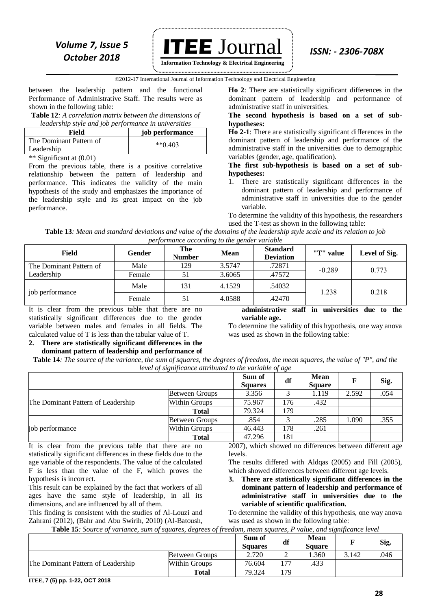

**Information Technology & Electrical Engineering**

#### ©2012-17 International Journal of Information Technology and Electrical Engineering `

between the leadership pattern and the functional Performance of Administrative Staff. The results were as shown in the following table:

**Table 12***: A correlation matrix between the dimensions of leadership style and job performance in universities*

| Field                                 | job performance      |
|---------------------------------------|----------------------|
| The Dominant Pattern of<br>Leadership | $*$ <sup>6</sup> 403 |
| .<br>.                                |                      |

\*\* Significant at (0.01)

From the previous table, there is a positive correlative relationship between the pattern of leadership and performance. This indicates the validity of the main hypothesis of the study and emphasizes the importance of the leadership style and its great impact on the job performance.

**Ho 2**: There are statistically significant differences in the dominant pattern of leadership and performance of administrative staff in universities.

**The second hypothesis is based on a set of subhypotheses:**

**Ho 2-1**: There are statistically significant differences in the dominant pattern of leadership and performance of the administrative staff in the universities due to demographic variables (gender, age, qualification).

**The first sub-hypothesis is based on a set of subhypotheses:**

1. There are statistically significant differences in the dominant pattern of leadership and performance of administrative staff in universities due to the gender variable.

To determine the validity of this hypothesis, the researchers used the T-test as shown in the following table:

**Table 13***: Mean and standard deviations and value of the domains of the leadership style scale and its relation to job performance according to the gender variable*

| Field                   | Gender | The<br><b>Number</b> | <b>Mean</b> | <b>Standard</b><br><b>Deviation</b> | "T" value | Level of Sig. |  |
|-------------------------|--------|----------------------|-------------|-------------------------------------|-----------|---------------|--|
| The Dominant Pattern of | Male   | 129                  | 3.5747      | .72871                              | $-0.289$  | 0.773         |  |
| Leadership              | Female | 51                   | 3.6065      | .47572                              |           |               |  |
| job performance         | Male   | 131                  | 4.1529      | .54032                              | 1.238     | 0.218         |  |
|                         | Female | 51                   | 4.0588      | .42470                              |           |               |  |

It is clear from the previous table that there are no statistically significant differences due to the gender variable between males and females in all fields. The calculated value of T is less than the tabular value of T.

#### **2. There are statistically significant differences in the dominant pattern of leadership and performance of**

**administrative staff in universities due to the variable age.**

To determine the validity of this hypothesis, one way anova was used as shown in the following table:

**Table 14***: The source of the variance, the sum of squares, the degrees of freedom, the mean squares, the value of "P", and the level of significance attributed to the variable of age*

|                                    |                | Sum of<br><b>Squares</b> | df  | <b>Mean</b><br><b>Square</b> | F     | Sig. |
|------------------------------------|----------------|--------------------------|-----|------------------------------|-------|------|
|                                    | Between Groups | 3.356                    |     | 1.119                        | 2.592 | .054 |
| The Dominant Pattern of Leadership | Within Groups  | 75.967                   | 176 | .432                         |       |      |
|                                    | <b>Total</b>   | 79.324                   | 179 |                              |       |      |
|                                    | Between Groups | .854                     | 2   | .285                         | 1.090 | .355 |
| job performance                    | Within Groups  | 46.443                   | 178 | .261                         |       |      |
|                                    | <b>Total</b>   | 47.296                   | 181 |                              |       |      |

It is clear from the previous table that there are no statistically significant differences in these fields due to the age variable of the respondents. The value of the calculated F is less than the value of the F, which proves the hypothesis is incorrect.

This result can be explained by the fact that workers of all ages have the same style of leadership, in all its dimensions, and are influenced by all of them.

This finding is consistent with the studies of Al-Louzi and Zahrani (2012), (Bahr and Abu Swirih, 2010) (Al-Batoush, 2007), which showed no differences between different age levels.

The results differed with Aldqas (2005) and Fill (2005), which showed differences between different age levels.

**3. There are statistically significant differences in the dominant pattern of leadership and performance of administrative staff in universities due to the variable of scientific qualification.**

To determine the validity of this hypothesis, one way anova was used as shown in the following table:

**Table 15***: Source of variance, sum of squares, degrees of freedom, mean squares, P value, and significance level*

|                                    |                       | Sum of<br><b>Squares</b> | df  | <b>Mean</b><br>Square |       | Sig. |
|------------------------------------|-----------------------|--------------------------|-----|-----------------------|-------|------|
|                                    | <b>Between Groups</b> | 2.720                    | ∠   | .360                  | 3.142 | 046  |
| The Dominant Pattern of Leadership | Within Groups         | 76.604                   | 177 | .433                  |       |      |
|                                    | <b>Total</b>          | 79.324                   | 179 |                       |       |      |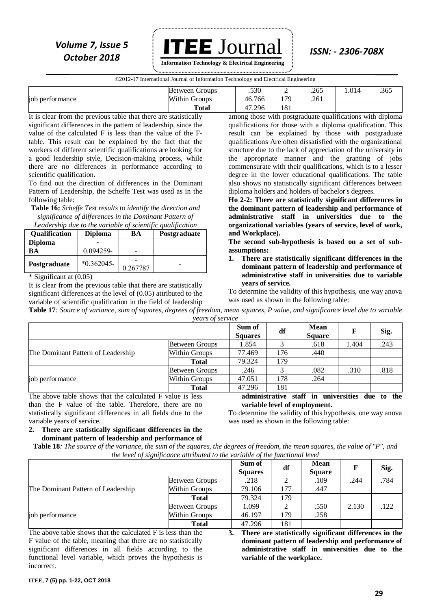## *Volume 7, Issue 5* **ITEE**  $J$ OUTNal *ISSN: - 2306-708X October 2018*

 **Information Technology & Electrical Engineering**

©2012-17 International Journal of Information Technology and Electrical Engineering

|                 | <b>Between Groups</b> | .530   | . . | .265 | .014 | .365 |
|-----------------|-----------------------|--------|-----|------|------|------|
| job performance | <b>Within Groups</b>  | 46.766 | 170 | .261 |      |      |
|                 | <b>Total</b>          | 47.296 | 181 |      |      |      |

It is clear from the previous table that there are statistically significant differences in the pattern of leadership, since the value of the calculated F is less than the value of the Ftable. This result can be explained by the fact that the workers of different scientific qualifications are looking for a good leadership style, Decision-making process, while there are no differences in performance according to scientific qualification.

To find out the direction of differences in the Dominant Pattern of Leadership, the Scheffe Test was used as in the following table:

**Table 16:** *Scheffe Test results to identify the direction and significance of differences in the Dominant Pattern of Leadership due to the variable of scientific qualification*

| Leadership and to the variable of scientific qualification |                |          |              |  |  |  |  |  |  |
|------------------------------------------------------------|----------------|----------|--------------|--|--|--|--|--|--|
| <b>Qualification</b>                                       | <b>Diploma</b> | BA       | Postgraduate |  |  |  |  |  |  |
| <b>Diploma</b>                                             |                |          |              |  |  |  |  |  |  |
| ВA                                                         | 0.094259-      |          |              |  |  |  |  |  |  |
| Postgraduate                                               | $*0.362045-$   | 0.267787 |              |  |  |  |  |  |  |

\* Significant at (0.05)

It is clear from the previous table that there are statistically significant differences at the level of (0.05) attributed to the variable of scientific qualification in the field of leadership among those with postgraduate qualifications with diploma qualifications for those with a diploma qualification. This result can be explained by those with postgraduate qualifications Are often dissatisfied with the organizational structure due to the lack of appreciation of the university in the appropriate manner and the granting of jobs commensurate with their qualifications, which is to a lesser degree in the lower educational qualifications. The table also shows no statistically significant differences between diploma holders and holders of bachelor's degrees.

**Ho 2-2: There are statistically significant differences in the dominant pattern of leadership and performance of administrative staff in universities due to the organizational variables (years of service, level of work, and Workplace).**

**The second sub-hypothesis is based on a set of subassumptions:**

**1. There are statistically significant differences in the dominant pattern of leadership and performance of administrative staff in universities due to variable years of service.**

To determine the validity of this hypothesis, one way anova was used as shown in the following table:

**Table 17***: Source of variance, sum of squares, degrees of freedom, mean squares, P value, and significance level due to variable years of service*

|                                                           | , ,            |                          |     |                                                 |       |      |
|-----------------------------------------------------------|----------------|--------------------------|-----|-------------------------------------------------|-------|------|
|                                                           |                | Sum of<br><b>Squares</b> | df  | Mean<br><b>Square</b>                           |       | Sig. |
| The Dominant Pattern of Leadership                        | Between Groups | 1.854                    |     | .618                                            | 1.404 | .243 |
|                                                           | Within Groups  | 77.469                   | 176 | .440                                            |       |      |
|                                                           | Total          | 79.324                   | 179 |                                                 |       |      |
|                                                           | Between Groups | .246                     |     | .082                                            | .310  | .818 |
| job performance                                           | Within Groups  | 47.051                   | 178 | .264                                            |       |      |
|                                                           | Total          | 47.296                   | 181 |                                                 |       |      |
| The above table shows that the calculated F value is less |                |                          |     | administrative staff in universities due to the |       |      |

The above table shows that the calculated F value is less than the F value of the table. Therefore, there are no statistically significant differences in all fields due to the variable years of service.

**variable level of employment.**

**2. There are statistically significant differences in the dominant pattern of leadership and performance of**  To determine the validity of this hypothesis, one way anova was used as shown in the following table:

**Table 18***: The source of the variance, the sum of the squares, the degrees of freedom, the mean squares, the value of "P", and the level of significance attributed to the variable of the functional level*

|                                    |                       | Sum of<br><b>Squares</b> | df  | <b>Mean</b><br><b>Square</b> |       | Sig. |
|------------------------------------|-----------------------|--------------------------|-----|------------------------------|-------|------|
| The Dominant Pattern of Leadership | <b>Between Groups</b> | .218                     |     | .109                         | .244  | .784 |
|                                    | Within Groups         | 79.106                   | 177 | .447                         |       |      |
|                                    | <b>Total</b>          | 79.324                   | 179 |                              |       |      |
| job performance                    | <b>Between Groups</b> | 1.099                    |     | .550                         | 2.130 | .122 |
|                                    | Within Groups         | 46.197                   | 179 | .258                         |       |      |
|                                    | Total                 | 47.296                   | 181 |                              |       |      |

The above table shows that the calculated F is less than the F value of the table, meaning that there are no statistically significant differences in all fields according to the functional level variable, which proves the hypothesis is incorrect.

**3. There are statistically significant differences in the dominant pattern of leadership and performance of administrative staff in universities due to the variable of the workplace.**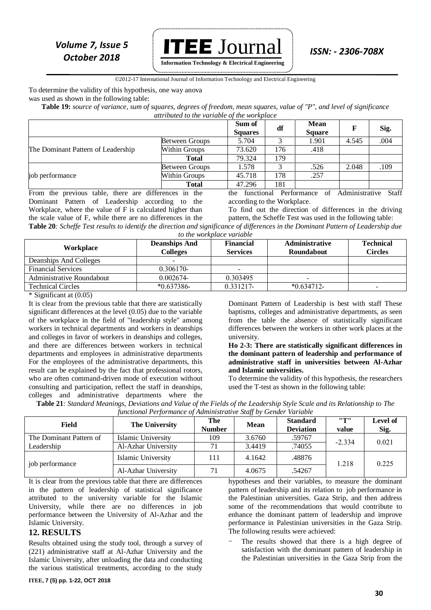

**Information Technology & Electrical Engineering**

#### ©2012-17 International Journal of Information Technology and Electrical Engineering `

To determine the validity of this hypothesis, one way anova

was used as shown in the following table:

**Table 19:** *source of variance, sum of squares, degrees of freedom, mean squares, value of "P", and level of significance attributed to the variable of the workplace*

|                                    |                       | Sum of<br><b>Squares</b> | df  | <b>Mean</b><br><b>Square</b> | F     | Sig. |
|------------------------------------|-----------------------|--------------------------|-----|------------------------------|-------|------|
| The Dominant Pattern of Leadership | <b>Between Groups</b> | 5.704                    |     | 1.901                        | 4.545 | .004 |
|                                    | Within Groups         | 73.620                   | 176 | .418                         |       |      |
|                                    | <b>Total</b>          | 79.324                   | 179 |                              |       |      |
| job performance                    | <b>Between Groups</b> | 1.578                    |     | .526                         | 2.048 | .109 |
|                                    | Within Groups         | 45.718                   | 178 | .257                         |       |      |
|                                    | <b>Total</b>          | 47.296                   | 181 |                              |       |      |

From the previous table, there are differences in the Dominant Pattern of Leadership according to the Workplace, where the value of F is calculated higher than the scale value of F, while there are no differences in the the functional Performance of Administrative Staff according to the Workplace. To find out the direction of differences in the driving pattern, the Scheffe Test was used in the following table: **Table 20***: Scheffe Test results to identify the direction and significance of differences in the Dominant Pattern of Leadership due* 

*to the workplace variable*

| Workplace                 | <b>Deanships And</b><br><b>Colleges</b> | <b>Financial</b><br><b>Services</b> | <b>Administrative</b><br>Roundabout | <b>Technical</b><br><b>Circles</b> |
|---------------------------|-----------------------------------------|-------------------------------------|-------------------------------------|------------------------------------|
| Deanships And Colleges    |                                         |                                     |                                     |                                    |
| <b>Financial Services</b> | $0.306170-$                             |                                     |                                     |                                    |
| Administrative Roundabout | 0.002674-                               | 0.303495                            | -                                   |                                    |
| <b>Technical Circles</b>  | $*0.637386-$                            | 0.331217-                           | $*0.634712-$                        |                                    |

 $*\overline{\text{Significant}}$  at (0.05)

It is clear from the previous table that there are statistically significant differences at the level (0.05) due to the variable of the workplace in the field of "leadership style" among workers in technical departments and workers in deanships and colleges in favor of workers in deanships and colleges, and there are differences between workers in technical departments and employees in administrative departments For the employees of the administrative departments, this result can be explained by the fact that professional rotors, who are often command-driven mode of execution without consulting and participation, reflect the staff in deanships, colleges and administrative departments where the

Dominant Pattern of Leadership is best with staff These baptisms, colleges and administrative departments, as seen from the table the absence of statistically significant differences between the workers in other work places at the university.

#### **Ho 2-3: There are statistically significant differences in the dominant pattern of leadership and performance of administrative staff in universities between Al-Azhar and Islamic universities.**

To determine the validity of this hypothesis, the researchers used the T-test as shown in the following table:

**Table 21***: Standard Meanings, Deviations and Value of the Fields of the Leadership Style Scale and its Relationship to The functional Performance of Administrative Staff by Gender Variable*

| Field                   | <b>The University</b> | The           | <b>Mean</b> | <b>Standard</b>  | "        | Level of |
|-------------------------|-----------------------|---------------|-------------|------------------|----------|----------|
|                         |                       | <b>Number</b> |             | <b>Deviation</b> | value    | Sig.     |
| The Dominant Pattern of | Islamic University    | 109           | 3.6760      | .59767           | $-2.334$ | 0.021    |
| Leadership              | Al-Azhar University   |               | 3.4419      | .74055           |          |          |
| job performance         | Islamic University    | 111           | 4.1642      | .48876           | 1.218    | 0.225    |
|                         | Al-Azhar University   |               | 4.0675      | .54267           |          |          |

It is clear from the previous table that there are differences in the pattern of leadership of statistical significance attributed to the university variable for the Islamic University, while there are no differences in job performance between the University of Al-Azhar and the Islamic University.

#### **12. RESULTS**

Results obtained using the study tool, through a survey of (221) administrative staff at Al-Azhar University and the Islamic University, after unloading the data and conducting the various statistical treatments, according to the study

hypotheses and their variables, to measure the dominant pattern of leadership and its relation to job performance in the Palestinian universities. Gaza Strip, and then address some of the recommendations that would contribute to enhance the dominant pattern of leadership and improve performance in Palestinian universities in the Gaza Strip. The following results were achieved:

The results showed that there is a high degree of satisfaction with the dominant pattern of leadership in the Palestinian universities in the Gaza Strip from the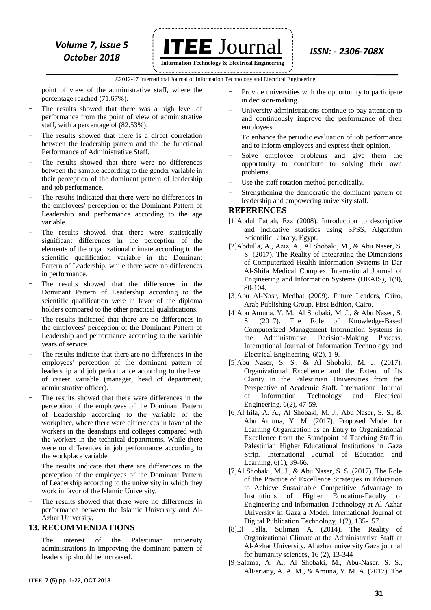

©2012-17 International Journal of Information Technology and Electrical Engineering `

point of view of the administrative staff, where the percentage reached (71.67%).

- The results showed that there was a high level of performance from the point of view of administrative staff, with a percentage of (82.53%).
- The results showed that there is a direct correlation between the leadership pattern and the the functional Performance of Administrative Staff.
- The results showed that there were no differences between the sample according to the gender variable in their perception of the dominant pattern of leadership and job performance.
- The results indicated that there were no differences in the employees' perception of the Dominant Pattern of Leadership and performance according to the age variable.
- The results showed that there were statistically significant differences in the perception of the elements of the organizational climate according to the scientific qualification variable in the Dominant Pattern of Leadership, while there were no differences in performance.
- The results showed that the differences in the Dominant Pattern of Leadership according to the scientific qualification were in favor of the diploma holders compared to the other practical qualifications.
- The results indicated that there are no differences in the employees' perception of the Dominant Pattern of Leadership and performance according to the variable years of service.
- The results indicate that there are no differences in the employees' perception of the dominant pattern of leadership and job performance according to the level of career variable (manager, head of department, administrative officer).
- The results showed that there were differences in the perception of the employees of the Dominant Pattern of Leadership according to the variable of the workplace, where there were differences in favor of the workers in the deanships and colleges compared with the workers in the technical departments. While there were no differences in job performance according to the workplace variable
- The results indicate that there are differences in the perception of the employees of the Dominant Pattern of Leadership according to the university in which they work in favor of the Islamic University.
- The results showed that there were no differences in performance between the Islamic University and Al-Azhar University.

### **13. RECOMMENDATIONS**

The interest of the Palestinian university administrations in improving the dominant pattern of leadership should be increased.

- Provide universities with the opportunity to participate in decision-making.
- University administrations continue to pay attention to and continuously improve the performance of their employees.
- To enhance the periodic evaluation of job performance and to inform employees and express their opinion.
- Solve employee problems and give them the opportunity to contribute to solving their own problems.
- Use the staff rotation method periodically.
- Strengthening the democratic the dominant pattern of leadership and empowering university staff.

### **REFERENCES**

- [1]Abdul Fattah, Ezz (2008). Introduction to descriptive and indicative statistics using SPSS, Algorithm Scientific Library, Egypt.
- [2]Abdulla, A., Aziz, A., Al Shobaki, M., & Abu Naser, S. S. (2017). The Reality of Integrating the Dimensions of Computerized Health Information Systems in Dar Al-Shifa Medical Complex. International Journal of Engineering and Information Systems (IJEAIS), 1(9), 80-104.
- [3]Abu Al-Nasr, Medhat (2009). Future Leaders, Cairo, Arab Publishing Group, First Edition, Cairo.
- [4]Abu Amuna, Y. M., Al Shobaki, M. J., & Abu Naser, S. S. (2017). The Role of Knowledge-Based Computerized Management Information Systems in the Administrative Decision-Making Process. International Journal of Information Technology and Electrical Engineering, 6(2), 1-9.
- [5]Abu Naser, S. S., & Al Shobaki, M. J. (2017). Organizational Excellence and the Extent of Its Clarity in the Palestinian Universities from the Perspective of Academic Staff. International Journal of Information Technology and Electrical Engineering, 6(2), 47-59.
- [6]Al hila, A. A., Al Shobaki, M. J., Abu Naser, S. S., & Abu Amuna, Y. M. (2017). Proposed Model for Learning Organization as an Entry to Organizational Excellence from the Standpoint of Teaching Staff in Palestinian Higher Educational Institutions in Gaza Strip. International Journal of Education and Learning, 6(1), 39-66.
- [7]Al Shobaki, M. J., & Abu Naser, S. S. (2017). The Role of the Practice of Excellence Strategies in Education to Achieve Sustainable Competitive Advantage to Institutions of Higher Education-Faculty of Engineering and Information Technology at Al-Azhar University in Gaza a Model. International Journal of Digital Publication Technology, 1(2), 135-157.
- [8]El Talla, Suliman A. (2014). The Reality of Organizational Climate at the Administrative Staff at Al-Azhar University. Al azhar university Gaza journal for humanity sciences, 16 (2), 13-344
- [9]Salama, A. A., Al Shobaki, M., Abu-Naser, S. S., AlFerjany, A. A. M., & Amuna, Y. M. A. (2017). The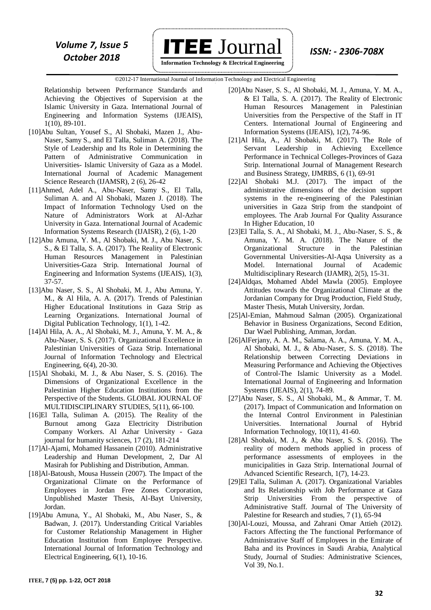*Volume 7, Issue 5* **ITEE**  $J$ OUTNal *ISSN: - 2306-708X* 

 **Information Technology & Electrical Engineering**

©2012-17 International Journal of Information Technology and Electrical Engineering `

Relationship between Performance Standards and Achieving the Objectives of Supervision at the Islamic University in Gaza. International Journal of Engineering and Information Systems (IJEAIS), 1(10), 89-101.

- [10]Abu Sultan, Yousef S., Al Shobaki, Mazen J., Abu-Naser, Samy S., and El Talla, Suliman A. (2018). The Style of Leadership and Its Role in Determining the Pattern of Administrative Communication in Universities- Islamic University of Gaza as a Model. International Journal of Academic Management Science Research (IJAMSR), 2 (6), 26-42
- [11]Ahmed, Adel A., Abu-Naser, Samy S., El Talla, Suliman A. and Al Shobaki, Mazen J. (2018). The Impact of Information Technology Used on the Nature of Administrators Work at Al-Azhar University in Gaza. International Journal of Academic Information Systems Research (IJAISR), 2 (6), 1-20
- [12]Abu Amuna, Y. M., Al Shobaki, M. J., Abu Naser, S. S., & El Talla, S. A. (2017). The Reality of Electronic Human Resources Management in Palestinian Universities-Gaza Strip. International Journal of Engineering and Information Systems (IJEAIS), 1(3), 37-57.
- [13]Abu Naser, S. S., Al Shobaki, M. J., Abu Amuna, Y. M., & Al Hila, A. A. (2017). Trends of Palestinian Higher Educational Institutions in Gaza Strip as Learning Organizations. International Journal of Digital Publication Technology, 1(1), 1-42.
- [14]Al Hila, A. A., Al Shobaki, M. J., Amuna, Y. M. A., & Abu-Naser, S. S. (2017). Organizational Excellence in Palestinian Universities of Gaza Strip. International Journal of Information Technology and Electrical Engineering, 6(4), 20-30.
- [15]Al Shobaki, M. J., & Abu Naser, S. S. (2016). The Dimensions of Organizational Excellence in the Palestinian Higher Education Institutions from the Perspective of the Students. GLOBAL JOURNAL OF MULTIDISCIPLINARY STUDIES, 5(11), 66-100.
- [16]El Talla, Suliman A. (2015). The Reality of the Burnout among Gaza Electricity Distribution Company Workers. Al Azhar University - Gaza journal for humanity sciences, 17 (2), 181-214
- [17]Al-Ajami, Mohamed Hassanein (2010). Administrative Leadership and Human Development, 2, Dar Al Masirah for Publishing and Distribution, Amman.
- [18]Al-Batoush, Mousa Hussein (2007). The Impact of the Organizational Climate on the Performance of Employees in Jordan Free Zones Corporation, Unpublished Master Thesis, Al-Bayt University, Jordan.
- [19]Abu Amuna, Y., Al Shobaki, M., Abu Naser, S., & Badwan, J. (2017). Understanding Critical Variables for Customer Relationship Management in Higher Education Institution from Employee Perspective. International Journal of Information Technology and Electrical Engineering, 6(1), 10-16.
- [20]Abu Naser, S. S., Al Shobaki, M. J., Amuna, Y. M. A., & El Talla, S. A. (2017). The Reality of Electronic Human Resources Management in Palestinian Universities from the Perspective of the Staff in IT Centers. International Journal of Engineering and Information Systems (IJEAIS), 1(2), 74-96.
- [21]Al Hila, A., Al Shobaki, M. (2017). The Role of Servant Leadership in Achieving Excellence Performance in Technical Colleges-Provinces of Gaza Strip. International Journal of Management Research and Business Strategy, IJMRBS, 6 (1), 69-91
- [22]Al Shobaki M.J. (2017). The impact of the administrative dimensions of the decision support systems in the re-engineering of the Palestinian universities in Gaza Strip from the standpoint of employees. The Arab Journal For Quality Assurance In Higher Education, 10
- [23]El Talla, S. A., Al Shobaki, M. J., Abu-Naser, S. S., & Amuna, Y. M. A. (2018). The Nature of the Organizational Structure in the Palestinian Governmental Universities-Al-Aqsa University as a Model. International Journal of Academic Multidisciplinary Research (IJAMR), 2(5), 15-31.
- [24]Aldqas, Mohamed Abdel Mawla (2005). Employee Attitudes towards the Organizational Climate at the Jordanian Company for Drug Production, Field Study, Master Thesis, Mutah University, Jordan.
- [25]Al-Emian, Mahmoud Salman (2005). Organizational Behavior in Business Organizations, Second Edition, Dar Wael Publishing, Amman, Jordan.
- [26]AlFerjany, A. A. M., Salama, A. A., Amuna, Y. M. A., Al Shobaki, M. J., & Abu-Naser, S. S. (2018). The Relationship between Correcting Deviations in Measuring Performance and Achieving the Objectives of Control-The Islamic University as a Model. International Journal of Engineering and Information Systems (IJEAIS), 2(1), 74-89.
- [27]Abu Naser, S. S., Al Shobaki, M., & Ammar, T. M. (2017). Impact of Communication and Information on the Internal Control Environment in Palestinian Universities. International Journal of Hybrid Information Technology, 10(11), 41-60.
- [28]Al Shobaki, M. J., & Abu Naser, S. S. (2016). The reality of modern methods applied in process of performance assessments of employees in the municipalities in Gaza Strip. International Journal of Advanced Scientific Research, 1(7), 14-23.
- [29]El Talla, Suliman A. (2017). Organizational Variables and Its Relationship with Job Performance at Gaza Strip Universities From the perspective of Administrative Staff. Journal of The University of Palestine for Research and studies, 7 (1), 65-94
- [30]Al-Louzi, Moussa, and Zahrani Omar Attieh (2012). Factors Affecting the The functional Performance of Administrative Staff of Employees in the Emirate of Baha and its Provinces in Saudi Arabia, Analytical Study, Journal of Studies: Administrative Sciences, Vol 39, No.1.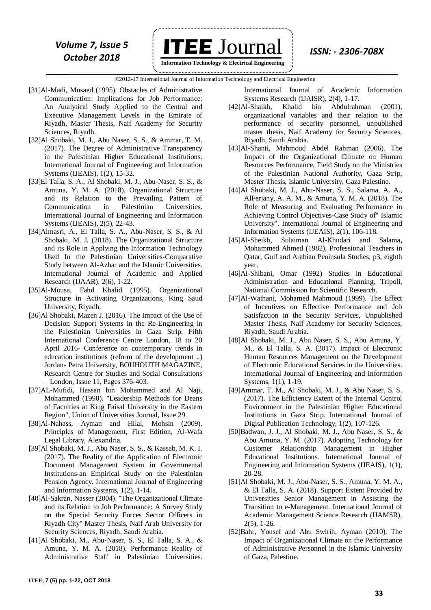

 **Information Technology & Electrical Engineering**

©2012-17 International Journal of Information Technology and Electrical Engineering `

- [31]Al-Madi, Musaed (1995). Obstacles of Administrative Communication: Implications for Job Performance: An Analytical Study Applied to the Central and Executive Management Levels in the Emirate of Riyadh, Master Thesis, Naif Academy for Security Sciences, Riyadh.
- [32]Al Shobaki, M. J., Abu Naser, S. S., & Ammar, T. M. (2017). The Degree of Administrative Transparency in the Palestinian Higher Educational Institutions. International Journal of Engineering and Information Systems (IJEAIS), 1(2), 15-32.
- [33]El Talla, S. A., Al Shobaki, M. J., Abu-Naser, S. S., & Amuna, Y. M. A. (2018). Organizational Structure and its Relation to the Prevailing Pattern of Communication in Palestinian Universities. International Journal of Engineering and Information Systems (IJEAIS), 2(5), 22-43.
- [34]Almasri, A., El Talla, S. A., Abu-Naser, S. S., & Al Shobaki, M. J. (2018). The Organizational Structure and its Role in Applying the Information Technology Used In the Palestinian Universities-Comparative Study between Al-Azhar and the Islamic Universities. International Journal of Academic and Applied Research (IJAAR), 2(6), 1-22.
- [35]Al-Mousa, Fahd Khalid (1995). Organizational Structure in Activating Organizations, King Saud University, Riyadh.
- [36]Al Shobaki, Mazen J. (2016). The Impact of the Use of Decision Support Systems in the Re-Engineering in the Palestinian Universities in Gaza Strip. Fifth International Conference Centre London, 18 to 20 April 2016- Conference on contemporary trends in education institutions (reform of the development ..) Jordan- Petra University, BOUHOUTH MAGAZINE, Research Centre for Studies and Social Consultations – London, Issue 11, Pages 376-403.
- [37]AL-Mufidi, Hassan bin Mohammed and Al Naji, Mohammed (1990). "Leadership Methods for Deans of Faculties at King Faisal University in the Eastern Region", Union of Universities Journal, Issue 29.
- [38]Al-Nahass, Ayman and Hilal, Mohsin (2009). Principles of Management, First Edition, Al-Wafa Legal Library, Alexandria.
- [39]Al Shobaki, M. J., Abu Naser, S. S., & Kassab, M. K. I. (2017). The Reality of the Application of Electronic Document Management System in Governmental Institutions-an Empirical Study on the Palestinian Pension Agency. International Journal of Engineering and Information Systems, 1(2), 1-14.
- [40]Al-Sakran, Nasser (2004). "The Organizational Climate and its Relation to Job Performance: A Survey Study on the Special Security Forces Sector Officers in Riyadh City" Master Thesis, Naif Arab University for Security Sciences, Riyadh, Saudi Arabia.
- [41]Al Shobaki, M., Abu-Naser, S. S., El Talla, S. A., & Amuna, Y. M. A. (2018). Performance Reality of Administrative Staff in Palestinian Universities.
- [42]Al-Shaikh, Khalid bin Abdulrahman (2001), organizational variables and their relation to the performance of security personnel, unpublished master thesis, Naif Academy for Security Sciences, Riyadh, Saudi Arabia.
- [43]Al-Shanti, Mahmoud Abdel Rahman (2006). The Impact of the Organizational Climate on Human Resources Performance, Field Study on the Ministries of the Palestinian National Authority, Gaza Strip, Master Thesis, Islamic University, Gaza Palestine.
- [44]Al Shobaki, M. J., Abu-Naser, S. S., Salama, A. A., AlFerjany, A. A. M., & Amuna, Y. M. A. (2018). The Role of Measuring and Evaluating Performance in Achieving Control Objectives-Case Study of" Islamic University". International Journal of Engineering and Information Systems (IJEAIS), 2(1), 106-118.
- [45]Al-Sheikh, Sulaiman Al-Khudari and Salama, Mohammed Ahmed (1982), Professional Teachers in Qatar, Gulf and Arabian Peninsula Studies, p3, eighth year.
- [46]Al-Shibani, Omar (1992) Studies in Educational Administration and Educational Planning, Tripoli, National Commission for Scientific Research.
- [47]Al-Wathani, Mohamed Mahmoud (1999). The Effect of Incentives on Effective Performance and Job Satisfaction in the Security Services, Unpublished Master Thesis, Naif Academy for Security Sciences, Riyadh, Saudi Arabia.
- [48]Al Shobaki, M. J., Abu Naser, S. S., Abu Amuna, Y. M., & El Talla, S. A. (2017). Impact of Electronic Human Resources Management on the Development of Electronic Educational Services in the Universities. International Journal of Engineering and Information Systems, 1(1), 1-19.
- [49]Ammar, T. M., Al Shobaki, M. J., & Abu Naser, S. S. (2017). The Efficiency Extent of the Internal Control Environment in the Palestinian Higher Educational Institutions in Gaza Strip. International Journal of Digital Publication Technology, 1(2), 107-126.
- [50]Badwan, J. J., Al Shobaki, M. J., Abu Naser, S. S., & Abu Amuna, Y. M. (2017). Adopting Technology for Customer Relationship Management in Higher Educational Institutions. International Journal of Engineering and Information Systems (IJEAIS), 1(1), 20-28.
- [51]Al Shobaki, M. J., Abu-Naser, S. S., Amuna, Y. M. A., & El Talla, S. A. (2018). Support Extent Provided by Universities Senior Management in Assisting the Transition to e-Management. International Journal of Academic Management Science Research (IJAMSR), 2(5), 1-26.
- [52]Bahr, Yousef and Abu Swirih, Ayman (2010). The Impact of Organizational Climate on the Performance of Administrative Personnel in the Islamic University of Gaza, Palestine.